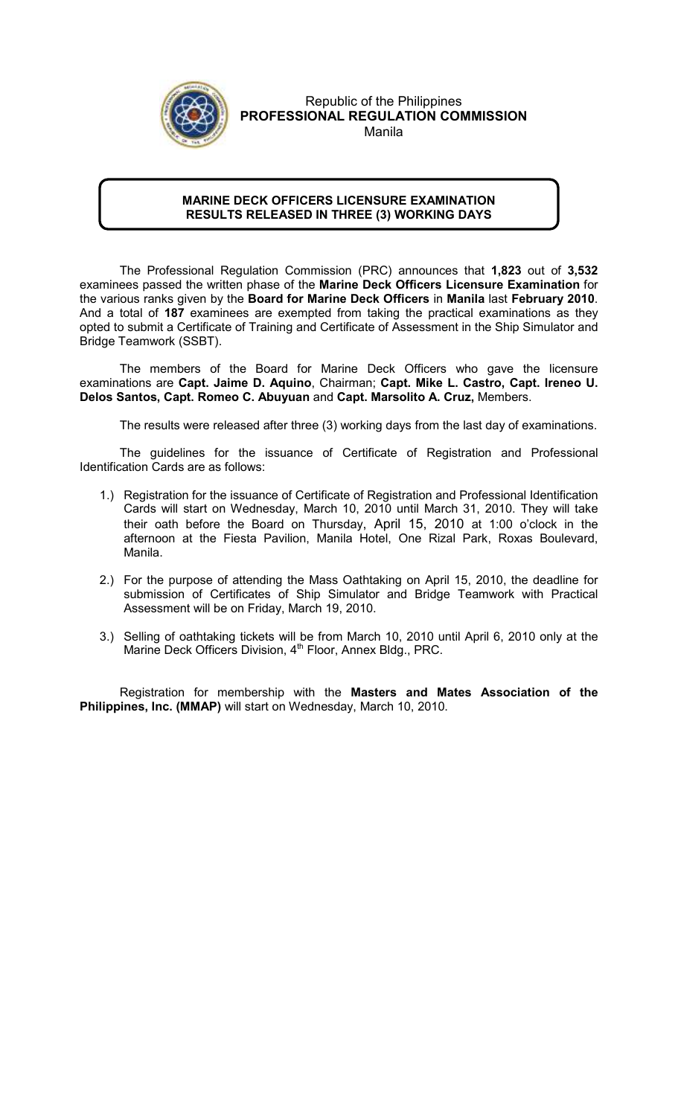

### Republic of the Philippines PROFESSIONAL REGULATION COMMISSION Manila

### MARINE DECK OFFICERS LICENSURE EXAMINATION RESULTS RELEASED IN THREE (3) WORKING DAYS

l

 The Professional Regulation Commission (PRC) announces that 1,823 out of 3,532 examinees passed the written phase of the Marine Deck Officers Licensure Examination for the various ranks given by the Board for Marine Deck Officers in Manila last February 2010. And a total of 187 examinees are exempted from taking the practical examinations as they opted to submit a Certificate of Training and Certificate of Assessment in the Ship Simulator and Bridge Teamwork (SSBT).

The members of the Board for Marine Deck Officers who gave the licensure examinations are Capt. Jaime D. Aquino, Chairman; Capt. Mike L. Castro, Capt. Ireneo U. Delos Santos, Capt. Romeo C. Abuyuan and Capt. Marsolito A. Cruz, Members.

The results were released after three (3) working days from the last day of examinations.

The guidelines for the issuance of Certificate of Registration and Professional Identification Cards are as follows:

- 1.) Registration for the issuance of Certificate of Registration and Professional Identification Cards will start on Wednesday, March 10, 2010 until March 31, 2010. They will take their oath before the Board on Thursday, April 15, 2010 at 1:00 o'clock in the afternoon at the Fiesta Pavilion, Manila Hotel, One Rizal Park, Roxas Boulevard, Manila.
- 2.) For the purpose of attending the Mass Oathtaking on April 15, 2010, the deadline for submission of Certificates of Ship Simulator and Bridge Teamwork with Practical Assessment will be on Friday, March 19, 2010.
- 3.) Selling of oathtaking tickets will be from March 10, 2010 until April 6, 2010 only at the Marine Deck Officers Division,  $4<sup>th</sup>$  Floor, Annex Bldg., PRC.

Registration for membership with the Masters and Mates Association of the Philippines, Inc. (MMAP) will start on Wednesday, March 10, 2010.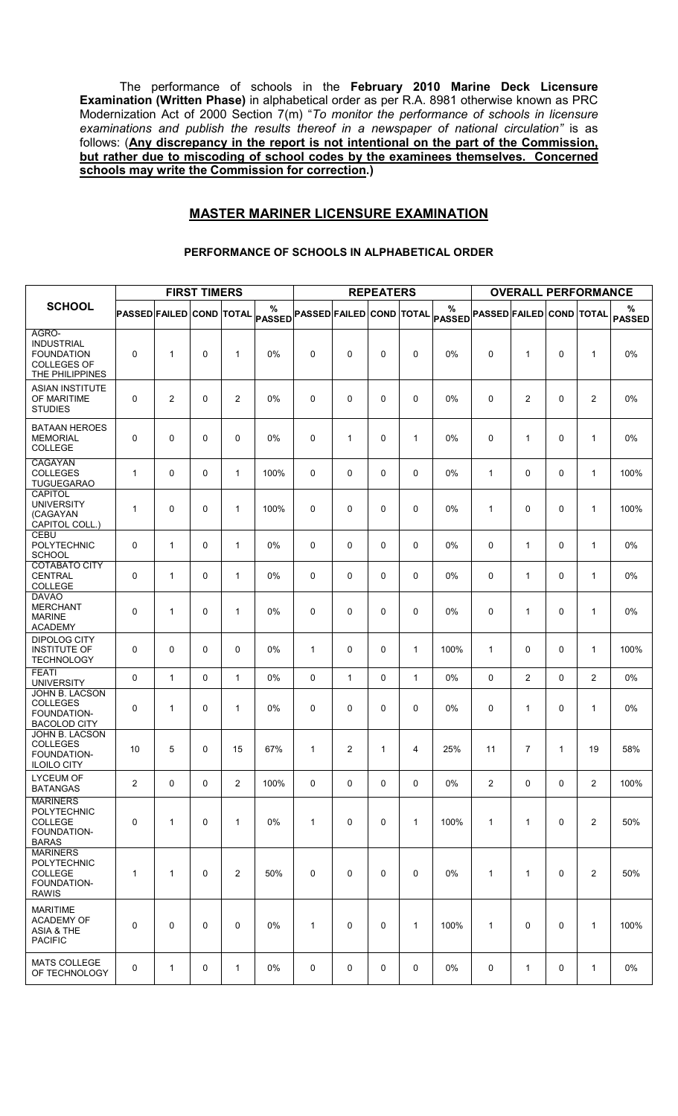The performance of schools in the February 2010 Marine Deck Licensure Examination (Written Phase) in alphabetical order as per R.A. 8981 otherwise known as PRC Modernization Act of 2000 Section 7(m) "To monitor the performance of schools in licensure examinations and publish the results thereof in a newspaper of national circulation" is as follows: (Any discrepancy in the report is not intentional on the part of the Commission, but rather due to miscoding of school codes by the examinees themselves. Concerned schools may write the Commission for correction.)

### MASTER MARINER LICENSURE EXAMINATION

|                                                                                          |                          |                | <b>FIRST TIMERS</b> |                |                    |                                 |              | <b>REPEATERS</b> |              |                    |                                 | <b>OVERALL PERFORMANCE</b> |          |                |                    |
|------------------------------------------------------------------------------------------|--------------------------|----------------|---------------------|----------------|--------------------|---------------------------------|--------------|------------------|--------------|--------------------|---------------------------------|----------------------------|----------|----------------|--------------------|
| <b>SCHOOL</b>                                                                            | PASSED FAILED COND TOTAL |                |                     |                | %<br><b>PASSED</b> | <b>PASSED FAILED COND TOTAL</b> |              |                  |              | %<br><b>PASSED</b> | <b>PASSED FAILED COND TOTAL</b> |                            |          |                | %<br><b>PASSED</b> |
| AGRO-<br><b>INDUSTRIAL</b><br><b>FOUNDATION</b><br><b>COLLEGES OF</b><br>THE PHILIPPINES | $\mathbf 0$              | $\mathbf{1}$   | 0                   | 1              | 0%                 | 0                               | 0            | 0                | 0            | 0%                 | 0                               | 1                          | 0        | 1              | $0\%$              |
| <b>ASIAN INSTITUTE</b><br>OF MARITIME<br><b>STUDIES</b>                                  | 0                        | $\overline{c}$ | 0                   | 2              | 0%                 | 0                               | 0            | 0                | 0            | 0%                 | $\mathbf 0$                     | $\overline{c}$             | 0        | $\mathbf{2}$   | 0%                 |
| <b>BATAAN HEROES</b><br><b>MEMORIAL</b><br>COLLEGE                                       | 0                        | $\mathbf 0$    | 0                   | 0              | 0%                 | 0                               | 1            | 0                | $\mathbf{1}$ | 0%                 | 0                               | 1                          | 0        | 1              | 0%                 |
| CAGAYAN<br><b>COLLEGES</b><br><b>TUGUEGARAO</b>                                          | $\mathbf{1}$             | $\mathbf 0$    | 0                   | $\mathbf{1}$   | 100%               | 0                               | 0            | 0                | $\mathbf 0$  | 0%                 | $\mathbf{1}$                    | $\mathbf 0$                | $\Omega$ | $\mathbf{1}$   | 100%               |
| CAPITOL<br><b>UNIVERSITY</b><br>(CAGAYAN<br>CAPITOL COLL.)                               | 1                        | 0              | 0                   | $\mathbf{1}$   | 100%               | 0                               | 0            | 0                | 0            | 0%                 | 1                               | 0                          | 0        | 1              | 100%               |
| <b>CEBU</b><br>POLYTECHNIC<br><b>SCHOOL</b>                                              | 0                        | $\mathbf{1}$   | 0                   | 1              | 0%                 | 0                               | 0            | 0                | 0            | 0%                 | 0                               | $\mathbf{1}$               | 0        | $\mathbf{1}$   | 0%                 |
| <b>COTABATO CITY</b><br><b>CENTRAL</b><br>COLLEGE                                        | 0                        | $\mathbf{1}$   | 0                   | $\mathbf{1}$   | 0%                 | 0                               | 0            | 0                | 0            | 0%                 | 0                               | $\mathbf{1}$               | $\Omega$ | $\mathbf{1}$   | 0%                 |
| <b>DAVAO</b><br><b>MERCHANT</b><br><b>MARINE</b><br><b>ACADEMY</b>                       | $\mathbf 0$              | 1              | 0                   | $\mathbf{1}$   | 0%                 | 0                               | 0            | 0                | 0            | 0%                 | 0                               | 1                          | 0        | 1              | 0%                 |
| <b>DIPOLOG CITY</b><br><b>INSTITUTE OF</b><br><b>TECHNOLOGY</b>                          | 0                        | $\mathbf 0$    | 0                   | 0              | 0%                 | 1                               | 0            | 0                | $\mathbf{1}$ | 100%               | 1                               | 0                          | 0        | 1              | 100%               |
| <b>FEATI</b><br><b>UNIVERSITY</b>                                                        | $\mathbf 0$              | $\mathbf{1}$   | 0                   | $\mathbf{1}$   | 0%                 | 0                               | $\mathbf{1}$ | 0                | $\mathbf{1}$ | 0%                 | $\Omega$                        | $\overline{2}$             | $\Omega$ | $\overline{2}$ | 0%                 |
| JOHN B. LACSON<br><b>COLLEGES</b><br>FOUNDATION-<br><b>BACOLOD CITY</b>                  | 0                        | 1              | 0                   | $\mathbf{1}$   | 0%                 | 0                               | 0            | 0                | 0            | 0%                 | 0                               | 1                          | 0        | 1              | 0%                 |
| JOHN B. LACSON<br><b>COLLEGES</b><br>FOUNDATION-<br><b>ILOILO CITY</b>                   | 10                       | 5              | 0                   | 15             | 67%                | 1                               | 2            | 1                | 4            | 25%                | 11                              | $\overline{7}$             | 1        | 19             | 58%                |
| <b>LYCEUM OF</b><br><b>BATANGAS</b>                                                      | $\mathbf{2}$             | $\mathbf 0$    | 0                   | $\overline{2}$ | 100%               | 0                               | 0            | 0                | 0            | 0%                 | $\overline{2}$                  | 0                          | 0        | $\mathbf{2}$   | 100%               |
| <b>MARINERS</b><br><b>POLYTECHNIC</b><br><b>COLLEGE</b><br>FOUNDATION-<br><b>BARAS</b>   | $\mathbf 0$              | $\mathbf{1}$   | 0                   | $\mathbf{1}$   | 0%                 | $\mathbf{1}$                    | 0            | 0                | $\mathbf{1}$ | 100%               | 1                               | 1                          | 0        | $\overline{2}$ | 50%                |
| <b>MARINERS</b><br><b>POLYTECHNIC</b><br>COLLEGE<br>FOUNDATION-<br><b>RAWIS</b>          | 1                        | $\mathbf{1}$   | 0                   | 2              | 50%                | 0                               | 0            | 0                | 0            | $0\%$              | 1                               | $\mathbf{1}$               | 0        | $\overline{2}$ | 50%                |
| <b>MARITIME</b><br><b>ACADEMY OF</b><br>ASIA & THE<br><b>PACIFIC</b>                     | $\pmb{0}$                | $\mathbf 0$    | 0                   | $\mathbf 0$    | 0%                 | $\mathbf{1}$                    | 0            | 0                | $\mathbf{1}$ | 100%               | 1                               | $\mathbf 0$                | 0        | $\mathbf{1}$   | 100%               |
| <b>MATS COLLEGE</b><br>OF TECHNOLOGY                                                     | 0                        | 1              | 0                   | 1              | $0\%$              | 0                               | 0            | 0                | 0            | 0%                 | 0                               | 1                          | 0        | $\mathbf{1}$   | 0%                 |

#### PERFORMANCE OF SCHOOLS IN ALPHABETICAL ORDER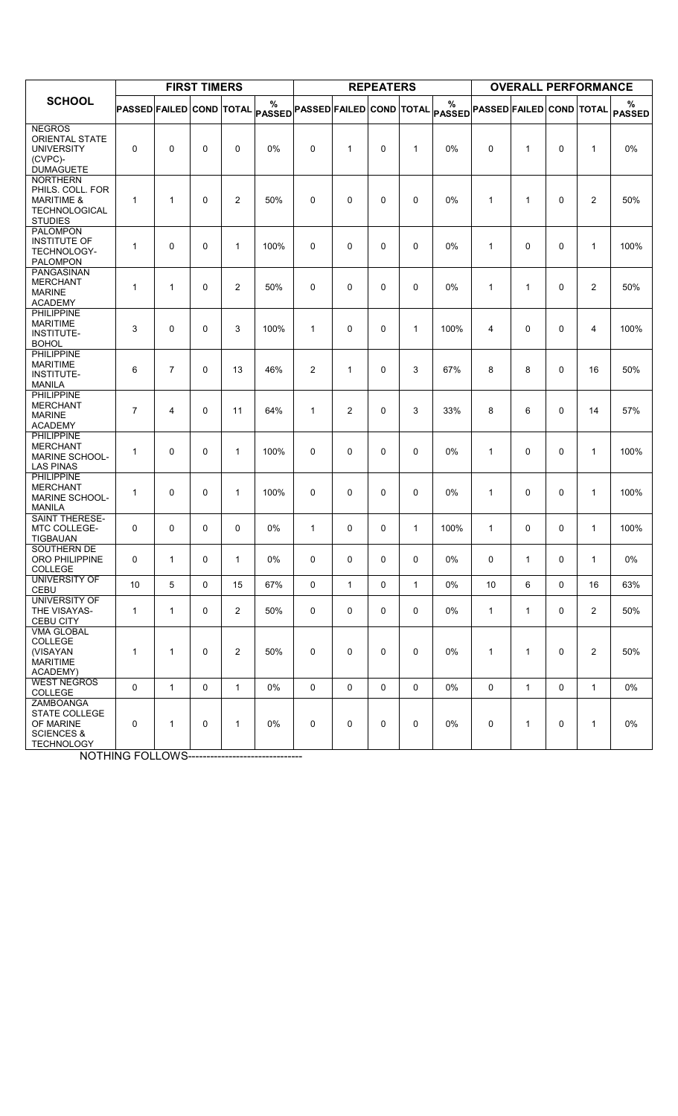|                                                                                                        |                          |                | <b>FIRST TIMERS</b> |                |                                         |                |                | <b>REPEATERS</b> |              |             |                                 | <b>OVERALL PERFORMANCE</b> |              |                |                    |
|--------------------------------------------------------------------------------------------------------|--------------------------|----------------|---------------------|----------------|-----------------------------------------|----------------|----------------|------------------|--------------|-------------|---------------------------------|----------------------------|--------------|----------------|--------------------|
| <b>SCHOOL</b>                                                                                          | PASSED FAILED COND TOTAL |                |                     |                | $\%$<br>PASSED PASSED FAILED COND TOTAL |                |                |                  |              | %<br>PASSED | <b>PASSED FAILED COND TOTAL</b> |                            |              |                | ℅<br><b>PASSED</b> |
| <b>NEGROS</b><br><b>ORIENTAL STATE</b><br><b>UNIVERSITY</b><br>(CVPC)-<br><b>DUMAGUETE</b>             | 0                        | $\mathbf 0$    | 0                   | 0              | 0%                                      | 0              | 1              | $\mathbf 0$      | $\mathbf{1}$ | 0%          | 0                               | 1                          | $\Omega$     | 1              | 0%                 |
| <b>NORTHERN</b><br>PHILS. COLL. FOR<br><b>MARITIME &amp;</b><br><b>TECHNOLOGICAL</b><br><b>STUDIES</b> | $\mathbf{1}$             | $\mathbf{1}$   | $\mathbf 0$         | $\overline{2}$ | 50%                                     | 0              | $\mathbf 0$    | $\mathbf 0$      | 0            | $0\%$       | $\mathbf{1}$                    | 1                          | $\Omega$     | $\overline{2}$ | 50%                |
| <b>PALOMPON</b><br><b>INSTITUTE OF</b><br>TECHNOLOGY-<br><b>PALOMPON</b><br><b>PANGASINAN</b>          | $\mathbf{1}$             | $\mathbf 0$    | $\mathbf 0$         | $\mathbf{1}$   | 100%                                    | 0              | $\mathbf 0$    | $\mathbf 0$      | 0            | 0%          | $\mathbf{1}$                    | $\Omega$                   | $\Omega$     | 1              | 100%               |
| <b>MERCHANT</b><br><b>MARINE</b><br><b>ACADEMY</b>                                                     | $\mathbf{1}$             | $\mathbf{1}$   | $\mathbf 0$         | 2              | 50%                                     | 0              | $\mathbf 0$    | $\mathbf 0$      | 0            | $0\%$       | $\mathbf{1}$                    | $\mathbf{1}$               | $\Omega$     | 2              | 50%                |
| <b>PHILIPPINE</b><br><b>MARITIME</b><br><b>INSTITUTE-</b><br><b>BOHOL</b>                              | 3                        | $\mathbf 0$    | $\mathbf 0$         | 3              | 100%                                    | 1              | $\mathbf 0$    | $\mathbf 0$      | $\mathbf{1}$ | 100%        | 4                               | 0                          | $\Omega$     | 4              | 100%               |
| <b>PHILIPPINE</b><br><b>MARITIME</b><br><b>INSTITUTE-</b><br><b>MANILA</b>                             | 6                        | $\overline{7}$ | 0                   | 13             | 46%                                     | $\overline{c}$ | 1              | 0                | 3            | 67%         | 8                               | 8                          | $\Omega$     | 16             | 50%                |
| <b>PHILIPPINE</b><br><b>MERCHANT</b><br><b>MARINE</b><br><b>ACADEMY</b>                                | $\overline{7}$           | 4              | $\mathbf 0$         | 11             | 64%                                     | $\mathbf 1$    | $\overline{c}$ | 0                | 3            | 33%         | 8                               | 6                          | $\Omega$     | 14             | 57%                |
| <b>PHILIPPINE</b><br><b>MERCHANT</b><br><b>MARINE SCHOOL-</b><br><b>LAS PINAS</b>                      | $\mathbf{1}$             | $\mathbf 0$    | $\mathbf 0$         | $\mathbf{1}$   | 100%                                    | 0              | $\mathbf 0$    | $\mathbf 0$      | 0            | $0\%$       | $\mathbf{1}$                    | $\Omega$                   | $\Omega$     | 1              | 100%               |
| <b>PHILIPPINE</b><br><b>MERCHANT</b><br><b>MARINE SCHOOL-</b><br><b>MANILA</b>                         | $\mathbf{1}$             | $\mathbf 0$    | $\mathbf 0$         | $\mathbf{1}$   | 100%                                    | 0              | 0              | 0                | 0            | 0%          | $\mathbf{1}$                    | $\Omega$                   | $\Omega$     | $\mathbf{1}$   | 100%               |
| <b>SAINT THERESE-</b><br>MTC COLLEGE-<br>TIGBAUAN<br>SOUTHERN DE                                       | 0                        | 0              | 0                   | 0              | 0%                                      | 1              | 0              | 0                | $\mathbf{1}$ | 100%        | $\mathbf{1}$                    | 0                          | $\mathbf 0$  | $\mathbf{1}$   | 100%               |
| <b>ORO PHILIPPINE</b><br>COLLEGE                                                                       | 0                        | $\mathbf{1}$   | 0                   | $\mathbf{1}$   | $0\%$                                   | 0              | $\mathbf 0$    | $\mathbf 0$      | 0            | 0%          | 0                               | 1                          | 0            | $\mathbf{1}$   | 0%                 |
| UNIVERSITY OF<br>CEBU                                                                                  | 10                       | 5              | 0                   | 15             | 67%                                     | 0              | $\mathbf{1}$   | $\mathbf 0$      | $\mathbf{1}$ | $0\%$       | 10                              | 6                          | $\Omega$     | 16             | 63%                |
| UNIVERSITY OF<br>THE VISAYAS-<br><b>CEBU CITY</b>                                                      | $\mathbf{1}$             | $\mathbf{1}$   | 0                   | $\overline{2}$ | 50%                                     | 0              | $\mathbf 0$    | $\mathbf 0$      | $\mathbf 0$  | 0%          | $\mathbf{1}$                    | $\mathbf{1}$               | $\mathbf 0$  | $\overline{2}$ | 50%                |
| <b>VMA GLOBAL</b><br>COLLEGE<br>(VISAYAN<br><b>MARITIME</b><br><b>ACADEMY)</b>                         | $\mathbf{1}$             | $\mathbf{1}$   | $\mathbf 0$         | $\overline{2}$ | 50%                                     | 0              | $\mathbf 0$    | 0                | 0            | $0\%$       | $\mathbf{1}$                    | $\mathbf{1}$               | $\mathbf{0}$ | $\overline{2}$ | 50%                |
| <b>WEST NEGROS</b><br>COLLEGE                                                                          | 0                        | $\mathbf{1}$   | 0                   | $\mathbf{1}$   | 0%                                      | 0              | $\mathbf 0$    | $\mathbf 0$      | $\mathbf 0$  | 0%          | $\mathbf 0$                     | $\mathbf{1}$               | $\mathbf{0}$ | $\mathbf{1}$   | 0%                 |
| ZAMBOANGA<br><b>STATE COLLEGE</b><br>OF MARINE<br><b>SCIENCES &amp;</b><br><b>TECHNOLOGY</b>           | 0                        | $\mathbf{1}$   | 0                   | $\mathbf{1}$   | 0%                                      | 0              | $\mathbf 0$    | 0                | 0            | 0%          | 0                               | $\mathbf{1}$               | $\mathbf{0}$ | $\mathbf{1}$   | 0%                 |

**NOTHING FOLLOWS------------------------------**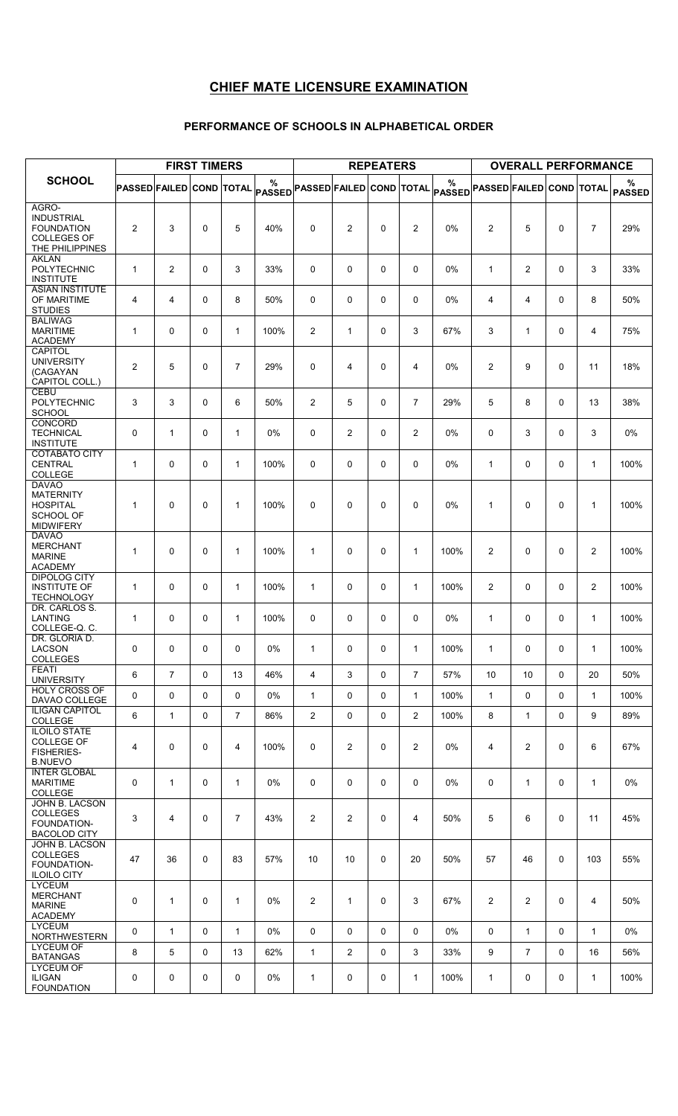# CHIEF MATE LICENSURE EXAMINATION

### PERFORMANCE OF SCHOOLS IN ALPHABETICAL ORDER

|                                                                                          |                                 |                | <b>FIRST TIMERS</b> |                |                                                                |                |                | <b>REPEATERS</b> |                |                                      |                | <b>OVERALL PERFORMANCE</b> |              |                |                    |
|------------------------------------------------------------------------------------------|---------------------------------|----------------|---------------------|----------------|----------------------------------------------------------------|----------------|----------------|------------------|----------------|--------------------------------------|----------------|----------------------------|--------------|----------------|--------------------|
| <b>SCHOOL</b>                                                                            | <b>PASSED FAILED COND TOTAL</b> |                |                     |                | %<br>$ \mathsf{passED} $ PASSED FAILED $ \mathsf{conv} $ total |                |                |                  |                | %<br>PASSED PASSED FAILED COND TOTAL |                |                            |              |                | ℅<br><b>PASSED</b> |
| AGRO-<br><b>INDUSTRIAL</b><br><b>FOUNDATION</b><br><b>COLLEGES OF</b><br>THE PHILIPPINES | $\overline{c}$                  | 3              | $\mathbf 0$         | 5              | 40%                                                            | 0              | $\overline{c}$ | $\mathbf 0$      | $\overline{2}$ | 0%                                   | $\overline{2}$ | 5                          | $\Omega$     | $\overline{7}$ | 29%                |
| <b>AKLAN</b><br><b>POLYTECHNIC</b><br><b>INSTITUTE</b>                                   | $\mathbf{1}$                    | $\overline{2}$ | $\mathbf 0$         | 3              | 33%                                                            | 0              | 0              | 0                | 0              | 0%                                   | $\mathbf{1}$   | $\overline{2}$             | $\Omega$     | 3              | 33%                |
| <b>ASIAN INSTITUTE</b><br>OF MARITIME<br><b>STUDIES</b>                                  | 4                               | 4              | $\mathbf 0$         | 8              | 50%                                                            | 0              | $\mathbf 0$    | $\mathbf 0$      | 0              | 0%                                   | 4              | 4                          | $\Omega$     | 8              | 50%                |
| <b>BALIWAG</b><br><b>MARITIME</b><br><b>ACADEMY</b>                                      | $\mathbf{1}$                    | $\Omega$       | $\Omega$            | $\mathbf{1}$   | 100%                                                           | 2              | $\mathbf{1}$   | $\mathbf 0$      | 3              | 67%                                  | 3              | $\mathbf{1}$               | $\Omega$     | 4              | 75%                |
| CAPITOL<br><b>UNIVERSITY</b><br>(CAGAYAN<br>CAPITOL COLL.)                               | $\overline{2}$                  | 5              | $\mathbf 0$         | $\overline{7}$ | 29%                                                            | 0              | 4              | 0                | 4              | $0\%$                                | 2              | 9                          | $\Omega$     | 11             | 18%                |
| <b>CEBU</b><br>POLYTECHNIC<br><b>SCHOOL</b>                                              | 3                               | 3              | $\mathbf 0$         | 6              | 50%                                                            | 2              | 5              | 0                | $\overline{7}$ | 29%                                  | 5              | 8                          | $\Omega$     | 13             | 38%                |
| <b>CONCORD</b><br><b>TECHNICAL</b><br><b>INSTITUTE</b>                                   | 0                               | $\mathbf{1}$   | $\mathbf 0$         | $\mathbf{1}$   | 0%                                                             | 0              | $\overline{c}$ | 0                | $\overline{2}$ | $0\%$                                | 0              | 3                          | $\Omega$     | 3              | 0%                 |
| <b>COTABATO CITY</b><br><b>CENTRAL</b><br>COLLEGE                                        | $\mathbf{1}$                    | $\Omega$       | $\mathbf 0$         | $\mathbf{1}$   | 100%                                                           | 0              | $\mathbf 0$    | 0                | 0              | $0\%$                                | $\mathbf{1}$   | $\mathbf{0}$               | $\Omega$     | $\mathbf{1}$   | 100%               |
| <b>DAVAO</b><br><b>MATERNITY</b><br><b>HOSPITAL</b><br>SCHOOL OF<br><b>MIDWIFERY</b>     | $\mathbf{1}$                    | $\Omega$       | $\Omega$            | $\mathbf{1}$   | 100%                                                           | 0              | $\mathbf 0$    | $\mathbf 0$      | 0              | 0%                                   | 1              | $\Omega$                   | $\Omega$     | 1              | 100%               |
| <b>DAVAO</b><br><b>MERCHANT</b><br><b>MARINE</b><br><b>ACADEMY</b>                       | $\mathbf{1}$                    | $\mathbf 0$    | $\mathbf 0$         | $\mathbf{1}$   | 100%                                                           | 1              | 0              | 0                | $\mathbf{1}$   | 100%                                 | $\overline{2}$ | $\Omega$                   | $\Omega$     | $\overline{c}$ | 100%               |
| <b>DIPOLOG CITY</b><br><b>INSTITUTE OF</b><br><b>TECHNOLOGY</b>                          | $\mathbf{1}$                    | $\mathbf 0$    | $\mathbf 0$         | $\mathbf{1}$   | 100%                                                           | $\mathbf{1}$   | $\mathbf 0$    | 0                | $\mathbf{1}$   | 100%                                 | $\overline{2}$ | 0                          | $\Omega$     | $\overline{2}$ | 100%               |
| DR. CARLOS S.<br>LANTING<br>COLLEGE-Q.C.                                                 | $\mathbf{1}$                    | $\Omega$       | $\Omega$            | $\mathbf{1}$   | 100%                                                           | 0              | 0              | 0                | 0              | $0\%$                                | $\mathbf{1}$   | $\mathbf{0}$               | $\Omega$     | 1              | 100%               |
| DR. GLORIA D.<br>LACSON<br><b>COLLEGES</b>                                               | $\mathsf{O}$                    | $\mathsf{O}$   | $\mathbf 0$         | 0              | $0\%$                                                          | $\mathbf{1}$   | 0              | 0                | 1              | 100%                                 | $\mathbf{1}$   | $\mathbf{0}$               | $\mathsf{O}$ | $\mathbf{1}$   | 100%               |
| <b>FEATI</b><br><b>UNIVERSITY</b>                                                        | 6                               | $\overline{7}$ | 0                   | 13             | 46%                                                            | 4              | 3              | $\mathbf 0$      | $\overline{7}$ | 57%                                  | 10             | 10                         | $\mathbf 0$  | 20             | 50%                |
| <b>HOLY CROSS OF</b><br>DAVAO COLLEGE                                                    | 0                               | 0              | 0                   | 0              | 0%                                                             | $\mathbf{1}$   | 0              | $\mathbf 0$      | $\mathbf{1}$   | 100%                                 | $\mathbf{1}$   | 0                          | $\mathbf 0$  | $\mathbf{1}$   | 100%               |
| <b>ILIGAN CAPITOL</b><br>COLLEGE                                                         | 6                               | $\mathbf{1}$   | $\mathbf 0$         | $\overline{7}$ | 86%                                                            | $\overline{2}$ | 0              | 0                | $\overline{2}$ | 100%                                 | 8              | $\mathbf{1}$               | 0            | 9              | 89%                |
| <b>ILOILO STATE</b><br>COLLEGE OF<br><b>FISHERIES-</b><br><b>B.NUEVO</b>                 | $\overline{4}$                  | $\mathbf 0$    | 0                   | $\overline{4}$ | 100%                                                           | 0              | $\overline{c}$ | 0                | 2              | 0%                                   | 4              | $\overline{2}$             | 0            | 6              | 67%                |
| <b>INTER GLOBAL</b><br><b>MARITIME</b><br>COLLEGE                                        | 0                               | $\mathbf{1}$   | 0                   | $\mathbf{1}$   | 0%                                                             | 0              | 0              | 0                | 0              | 0%                                   | 0              | $\mathbf{1}$               | $\mathbf{0}$ | $\mathbf{1}$   | 0%                 |
| JOHN B. LACSON<br><b>COLLEGES</b><br>FOUNDATION-<br><b>BACOLOD CITY</b>                  | 3                               | 4              | 0                   | $\overline{7}$ | 43%                                                            | $\overline{2}$ | $\overline{2}$ | $\mathbf 0$      | 4              | 50%                                  | 5              | 6                          | $\mathbf{0}$ | 11             | 45%                |
| JOHN B. LACSON<br><b>COLLEGES</b><br>FOUNDATION-<br><b>ILOILO CITY</b>                   | 47                              | 36             | 0                   | 83             | 57%                                                            | 10             | 10             | 0                | 20             | 50%                                  | 57             | 46                         | $\Omega$     | 103            | 55%                |
| <b>LYCEUM</b><br><b>MERCHANT</b><br><b>MARINE</b><br><b>ACADEMY</b>                      | 0                               | 1              | 0                   | $\mathbf{1}$   | 0%                                                             | 2              | 1              | $\mathbf 0$      | 3              | 67%                                  | $\overline{2}$ | $\overline{2}$             | $\mathbf{0}$ | 4              | 50%                |
| <b>LYCEUM</b><br><b>NORTHWESTERN</b>                                                     | 0                               | $\mathbf{1}$   | 0                   | $\mathbf{1}$   | $0\%$                                                          | 0              | 0              | 0                | 0              | 0%                                   | 0              | $\mathbf{1}$               | 0            | $\mathbf{1}$   | 0%                 |
| <b>LYCEUM OF</b><br><b>BATANGAS</b>                                                      | 8                               | 5              | 0                   | 13             | 62%                                                            | $\mathbf{1}$   | $\overline{2}$ | 0                | 3              | 33%                                  | 9              | $\overline{7}$             | 0            | 16             | 56%                |
| <b>LYCEUM OF</b><br><b>ILIGAN</b><br><b>FOUNDATION</b>                                   | 0                               | 0              | 0                   | 0              | 0%                                                             | $\mathbf{1}$   | 0              | 0                | $\mathbf{1}$   | 100%                                 | $\mathbf{1}$   | 0                          | 0            | $\mathbf{1}$   | 100%               |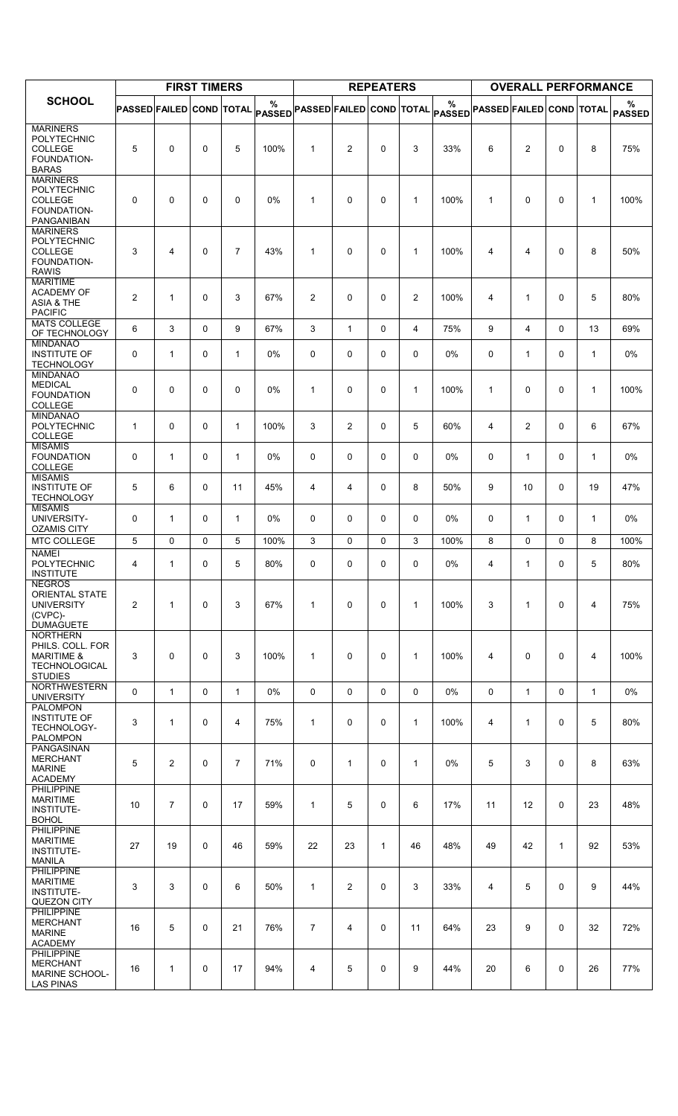|                                                                                              |                          |                | <b>FIRST TIMERS</b> |                |       |                                                                        |                | <b>REPEATERS</b> |                |                                                                |                | <b>OVERALL PERFORMANCE</b> |              |                |               |
|----------------------------------------------------------------------------------------------|--------------------------|----------------|---------------------|----------------|-------|------------------------------------------------------------------------|----------------|------------------|----------------|----------------------------------------------------------------|----------------|----------------------------|--------------|----------------|---------------|
| <b>SCHOOL</b>                                                                                | PASSED FAILED COND TOTAL |                |                     |                | $\%$  | $ \mathsf{passED} $ PASSED $ \mathsf{FAILED} \mathsf{COND}\vert$ total |                |                  |                | %<br>$ \mathsf{passED} $ PASSED FAILED $ \mathsf{conv} $ total |                |                            |              |                | %             |
| <b>MARINERS</b>                                                                              |                          |                |                     |                |       |                                                                        |                |                  |                |                                                                |                |                            |              |                | <b>PASSED</b> |
| POLYTECHNIC<br><b>COLLEGE</b><br>FOUNDATION-<br><b>BARAS</b>                                 | 5                        | 0              | 0                   | 5              | 100%  | $\mathbf{1}$                                                           | $\overline{2}$ | 0                | 3              | 33%                                                            | 6              | $\overline{c}$             | 0            | 8              | 75%           |
| <b>MARINERS</b><br>POLYTECHNIC<br>COLLEGE<br>FOUNDATION-<br><b>PANGANIBAN</b>                | 0                        | 0              | 0                   | 0              | 0%    | $\mathbf{1}$                                                           | 0              | 0                | $\mathbf{1}$   | 100%                                                           | $\mathbf{1}$   | 0                          | 0            | $\mathbf{1}$   | 100%          |
| <b>MARINERS</b><br>POLYTECHNIC<br><b>COLLEGE</b><br>FOUNDATION-<br><b>RAWIS</b>              | 3                        | 4              | 0                   | $\overline{7}$ | 43%   | $\mathbf{1}$                                                           | 0              | 0                | $\mathbf{1}$   | 100%                                                           | $\overline{4}$ | 4                          | $\Omega$     | 8              | 50%           |
| <b>MARITIME</b><br><b>ACADEMY OF</b><br><b>ASIA &amp; THE</b><br><b>PACIFIC</b>              | 2                        | $\mathbf{1}$   | 0                   | 3              | 67%   | $\overline{2}$                                                         | 0              | 0                | $\overline{2}$ | 100%                                                           | 4              | 1                          | $\mathbf{0}$ | 5              | 80%           |
| <b>MATS COLLEGE</b><br>OF TECHNOLOGY                                                         | 6                        | 3              | 0                   | 9              | 67%   | 3                                                                      | $\mathbf{1}$   | 0                | $\overline{4}$ | 75%                                                            | 9              | 4                          | $\Omega$     | 13             | 69%           |
| <b>MINDANAO</b><br><b>INSTITUTE OF</b><br><b>TECHNOLOGY</b>                                  | 0                        | $\mathbf{1}$   | 0                   | $\mathbf{1}$   | 0%    | 0                                                                      | 0              | 0                | 0              | 0%                                                             | 0              | 1                          | $\Omega$     | $\mathbf{1}$   | 0%            |
| <b>MINDANAO</b><br><b>MEDICAL</b><br><b>FOUNDATION</b><br>COLLEGE                            | 0                        | 0              | 0                   | 0              | 0%    | $\mathbf{1}$                                                           | 0              | 0                | $\mathbf{1}$   | 100%                                                           | $\mathbf{1}$   | 0                          | $\mathbf{0}$ | $\mathbf{1}$   | 100%          |
| <b>MINDANAO</b><br>POLYTECHNIC<br>COLLEGE                                                    | $\mathbf{1}$             | 0              | 0                   | $\mathbf{1}$   | 100%  | 3                                                                      | $\overline{2}$ | 0                | 5              | 60%                                                            | 4              | $\overline{2}$             | 0            | 6              | 67%           |
| <b>MISAMIS</b><br><b>FOUNDATION</b><br><b>COLLEGE</b>                                        | 0                        | $\mathbf{1}$   | 0                   | $\mathbf{1}$   | $0\%$ | 0                                                                      | 0              | 0                | 0              | $0\%$                                                          | 0              | 1                          | $\mathbf{0}$ | $\mathbf{1}$   | 0%            |
| <b>MISAMIS</b><br><b>INSTITUTE OF</b><br><b>TECHNOLOGY</b><br><b>MISAMIS</b>                 | 5                        | 6              | 0                   | 11             | 45%   | 4                                                                      | 4              | 0                | 8              | 50%                                                            | 9              | 10                         | 0            | 19             | 47%           |
| UNIVERSITY-<br><b>OZAMIS CITY</b>                                                            | 0                        | $\mathbf{1}$   | 0                   | $\mathbf{1}$   | 0%    | 0                                                                      | 0              | 0                | 0              | $0\%$                                                          | 0              | $\mathbf{1}$               | $\Omega$     | $\mathbf{1}$   | 0%            |
| MTC COLLEGE<br><b>NAMEI</b>                                                                  | 5                        | 0              | 0                   | 5              | 100%  | 3                                                                      | 0              | 0                | 3              | 100%                                                           | 8              | 0                          | 0            | 8              | 100%          |
| POLYTECHNIC<br><b>INSTITUTE</b><br><b>NEGROS</b>                                             | 4                        | $\mathbf{1}$   | 0                   | 5              | 80%   | 0                                                                      | 0              | 0                | 0              | 0%                                                             | 4              | 1                          | 0            | 5              | 80%           |
| <b>ORIENTAL STATE</b><br><b>UNIVERSITY</b><br>(CVPC)-<br><b>DUMAGUETE</b><br><b>NORTHERN</b> | $\overline{2}$           | $\mathbf{1}$   | 0                   | 3              | 67%   | $\mathbf{1}$                                                           | 0              | 0                | $\mathbf{1}$   | 100%                                                           | 3              | 1                          | 0            | $\overline{4}$ | 75%           |
| PHILS, COLL, FOR<br><b>MARITIME &amp;</b><br><b>TECHNOLOGICAL</b><br><b>STUDIES</b>          | 3                        | 0              | 0                   | 3              | 100%  | $\mathbf{1}$                                                           | 0              | 0                | 1              | 100%                                                           | 4              | 0                          | 0            | 4              | 100%          |
| <b>NORTHWESTERN</b><br><b>UNIVERSITY</b><br><b>PALOMPON</b>                                  | $\Omega$                 | $\mathbf{1}$   | 0                   | $\mathbf{1}$   | 0%    | 0                                                                      | 0              | 0                | $\mathbf 0$    | 0%                                                             | 0              | $\mathbf{1}$               | $\Omega$     | $\mathbf{1}$   | 0%            |
| <b>INSTITUTE OF</b><br>TECHNOLOGY-<br><b>PALOMPON</b>                                        | 3                        | $\mathbf{1}$   | 0                   | 4              | 75%   | 1                                                                      | 0              | 0                | $\mathbf{1}$   | 100%                                                           | 4              | $\mathbf{1}$               | $\Omega$     | 5              | 80%           |
| PANGASINAN<br><b>MERCHANT</b><br><b>MARINE</b><br><b>ACADEMY</b>                             | 5                        | $\overline{2}$ | 0                   | $\overline{7}$ | 71%   | 0                                                                      | $\mathbf{1}$   | 0                | $\mathbf{1}$   | $0\%$                                                          | 5              | 3                          | 0            | 8              | 63%           |
| <b>PHILIPPINE</b><br><b>MARITIME</b><br><b>INSTITUTE-</b><br><b>BOHOL</b>                    | 10                       | $\overline{7}$ | 0                   | 17             | 59%   | $\mathbf{1}$                                                           | 5              | 0                | 6              | 17%                                                            | 11             | 12                         | 0            | 23             | 48%           |
| <b>PHILIPPINE</b><br><b>MARITIME</b><br>INSTITUTE-<br><b>MANILA</b>                          | 27                       | 19             | 0                   | 46             | 59%   | 22                                                                     | 23             | $\mathbf{1}$     | 46             | 48%                                                            | 49             | 42                         | 1            | 92             | 53%           |
| <b>PHILIPPINE</b><br><b>MARITIME</b><br>INSTITUTE-<br>QUEZON CITY                            | 3                        | 3              | 0                   | 6              | 50%   | 1                                                                      | $\overline{2}$ | 0                | 3              | 33%                                                            | $\overline{4}$ | 5                          | 0            | 9              | 44%           |
| PHILIPPINE<br><b>MERCHANT</b><br><b>MARINE</b><br><b>ACADEMY</b>                             | 16                       | 5              | 0                   | 21             | 76%   | $\overline{7}$                                                         | 4              | 0                | 11             | 64%                                                            | 23             | 9                          | $\Omega$     | 32             | 72%           |
| <b>PHILIPPINE</b><br><b>MERCHANT</b><br><b>MARINE SCHOOL-</b><br><b>LAS PINAS</b>            | 16                       | $\mathbf{1}$   | 0                   | 17             | 94%   | 4                                                                      | 5              | 0                | 9              | 44%                                                            | 20             | 6                          | 0            | 26             | 77%           |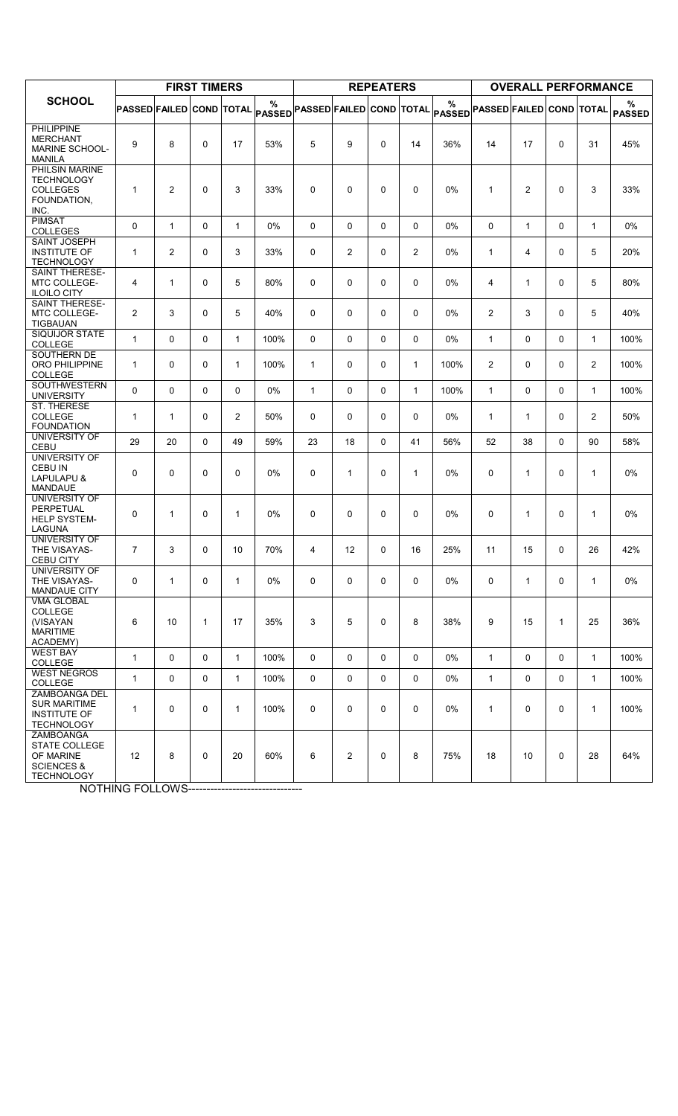|                                                                                              |                                 |                | <b>FIRST TIMERS</b> |                |                    |                          |                | <b>REPEATERS</b> |              |                    |                                 | <b>OVERALL PERFORMANCE</b> |              |                |                    |
|----------------------------------------------------------------------------------------------|---------------------------------|----------------|---------------------|----------------|--------------------|--------------------------|----------------|------------------|--------------|--------------------|---------------------------------|----------------------------|--------------|----------------|--------------------|
| <b>SCHOOL</b>                                                                                | <b>PASSED FAILED COND TOTAL</b> |                |                     |                | %<br><b>PASSED</b> | PASSED FAILED COND TOTAL |                |                  |              | %<br><b>PASSED</b> | <b>PASSED FAILED COND TOTAL</b> |                            |              |                | %<br><b>PASSED</b> |
| <b>PHILIPPINE</b><br><b>MERCHANT</b><br>MARINE SCHOOL-<br><b>MANILA</b>                      | 9                               | 8              | $\Omega$            | 17             | 53%                | 5                        | 9              | $\Omega$         | 14           | 36%                | 14                              | 17                         | $\Omega$     | 31             | 45%                |
| PHILSIN MARINE<br><b>TECHNOLOGY</b><br><b>COLLEGES</b><br>FOUNDATION,<br>INC.                | $\mathbf{1}$                    | 2              | $\Omega$            | 3              | 33%                | 0                        | 0              | 0                | 0            | 0%                 | $\mathbf{1}$                    | $\overline{2}$             | 0            | 3              | 33%                |
| <b>PIMSAT</b><br><b>COLLEGES</b>                                                             | 0                               | $\mathbf{1}$   | 0                   | $\mathbf{1}$   | 0%                 | 0                        | 0              | 0                | 0            | 0%                 | 0                               | $\mathbf 1$                | 0            | 1              | 0%                 |
| <b>SAINT JOSEPH</b><br><b>INSTITUTE OF</b><br><b>TECHNOLOGY</b>                              | $\mathbf{1}$                    | $\overline{2}$ | $\Omega$            | 3              | 33%                | 0                        | 2              | 0                | 2            | 0%                 | $\mathbf{1}$                    | 4                          | $\mathbf{0}$ | 5              | 20%                |
| <b>SAINT THERESE-</b><br><b>MTC COLLEGE-</b><br><b>ILOILO CITY</b>                           | 4                               | $\mathbf{1}$   | $\mathbf 0$         | 5              | 80%                | 0                        | $\mathbf 0$    | 0                | 0            | 0%                 | 4                               | 1                          | $\Omega$     | 5              | 80%                |
| <b>SAINT THERESE-</b><br><b>MTC COLLEGE-</b><br><b>TIGBAUAN</b>                              | $\overline{2}$                  | 3              | $\Omega$            | 5              | 40%                | 0                        | $\Omega$       | $\Omega$         | $\Omega$     | 0%                 | 2                               | 3                          | $\mathbf{0}$ | 5              | 40%                |
| SIQUIJOR STATE<br><b>COLLEGE</b>                                                             | $\mathbf{1}$                    | $\Omega$       | $\Omega$            | $\mathbf{1}$   | 100%               | 0                        | $\mathbf 0$    | 0                | 0            | 0%                 | $\mathbf{1}$                    | 0                          | $\mathbf{0}$ | 1              | 100%               |
| SOUTHERN DE<br>ORO PHILIPPINE<br>COLLEGE                                                     | $\mathbf 1$                     | $\Omega$       | $\Omega$            | $\mathbf{1}$   | 100%               | $\mathbf{1}$             | $\Omega$       | $\Omega$         | $\mathbf{1}$ | 100%               | 2                               | $\Omega$                   | $\mathbf{0}$ | $\overline{2}$ | 100%               |
| SOUTHWESTERN<br><b>UNIVERSITY</b>                                                            | $\Omega$                        | $\Omega$       | $\Omega$            | 0              | 0%                 | $\mathbf{1}$             | 0              | 0                | $\mathbf{1}$ | 100%               | $\mathbf{1}$                    | 0                          | 0            | $\mathbf{1}$   | 100%               |
| <b>ST. THERESE</b><br><b>COLLEGE</b><br><b>FOUNDATION</b>                                    | $\mathbf 1$                     | $\mathbf{1}$   | $\Omega$            | $\overline{2}$ | 50%                | 0                        | $\Omega$       | $\Omega$         | $\Omega$     | 0%                 | $\mathbf{1}$                    | $\mathbf{1}$               | $\mathbf{0}$ | $\overline{2}$ | 50%                |
| UNIVERSITY OF<br>CEBU                                                                        | 29                              | 20             | $\Omega$            | 49             | 59%                | 23                       | 18             | $\Omega$         | 41           | 56%                | 52                              | 38                         | $\mathbf{0}$ | 90             | 58%                |
| UNIVERSITY OF<br><b>CEBU IN</b><br>LAPULAPU &<br><b>MANDAUE</b>                              | $\Omega$                        | $\Omega$       | $\Omega$            | 0              | 0%                 | 0                        | $\mathbf{1}$   | $\Omega$         | $\mathbf{1}$ | 0%                 | 0                               | $\mathbf{1}$               | $\Omega$     | $\mathbf{1}$   | 0%                 |
| UNIVERSITY OF<br>PERPETUAL<br><b>HELP SYSTEM-</b><br>LAGUNA                                  | 0                               | $\mathbf{1}$   | 0                   | 1              | $0\%$              | 0                        | $\mathbf 0$    | 0                | 0            | $0\%$              | 0                               | 1                          | 0            | 1              | 0%                 |
| <b>UNIVERSITY OF</b><br>THE VISAYAS-<br><b>CEBU CITY</b>                                     | $\overline{7}$                  | 3              | $\Omega$            | 10             | 70%                | 4                        | 12             | $\Omega$         | 16           | 25%                | 11                              | 15                         | $\mathbf{0}$ | 26             | 42%                |
| <b>UNIVERSITY OF</b><br>THE VISAYAS-<br><b>MANDAUE CITY</b>                                  | 0                               | $\mathbf{1}$   | 0                   | $\mathbf{1}$   | 0%                 | 0                        | 0              | 0                | 0            | 0%                 | 0                               | $\mathbf{1}$               | 0            | $\mathbf{1}$   | 0%                 |
| <b>VMA GLOBAL</b><br><b>COLLEGE</b><br>(VISAYAN<br><b>MARITIME</b><br>ACADEMY)               | 6                               | 10             | $\mathbf{1}$        | 17             | 35%                | 3                        | 5              | 0                | 8            | 38%                | 9                               | 15                         | 1            | 25             | 36%                |
| <b>WEST BAY</b><br><b>COLLEGE</b>                                                            | $\mathbf{1}$                    | $\mathbf{0}$   | $\Omega$            | $\mathbf{1}$   | 100%               | $\mathbf 0$              | $\Omega$       | $\Omega$         | $\Omega$     | 0%                 | $\mathbf{1}$                    | $\Omega$                   | $\mathbf{0}$ | $\mathbf{1}$   | 100%               |
| <b>WEST NEGROS</b><br><b>COLLEGE</b>                                                         | $\mathbf{1}$                    | $\mathbf 0$    | 0                   | $\mathbf{1}$   | 100%               | 0                        | 0              | 0                | 0            | 0%                 | $\mathbf{1}$                    | 0                          | $\mathbf 0$  | $\mathbf{1}$   | 100%               |
| ZAMBOANGA DEL<br><b>SUR MARITIME</b><br>INSTITUTE OF<br><b>TECHNOLOGY</b>                    | $\mathbf{1}$                    | $\Omega$       | $\Omega$            | $\mathbf{1}$   | 100%               | 0                        | $\mathbf 0$    | 0                | 0            | 0%                 | $\mathbf{1}$                    | 0                          | $\mathbf{0}$ | $\mathbf{1}$   | 100%               |
| ZAMBOANGA<br><b>STATE COLLEGE</b><br>OF MARINE<br><b>SCIENCES &amp;</b><br><b>TECHNOLOGY</b> | 12                              | 8              | $\Omega$            | 20             | 60%                | 6                        | $\overline{2}$ | 0                | 8            | 75%                | 18                              | 10                         | $\mathbf{0}$ | 28             | 64%                |

**NOTHING FOLLOWS-------------------------------**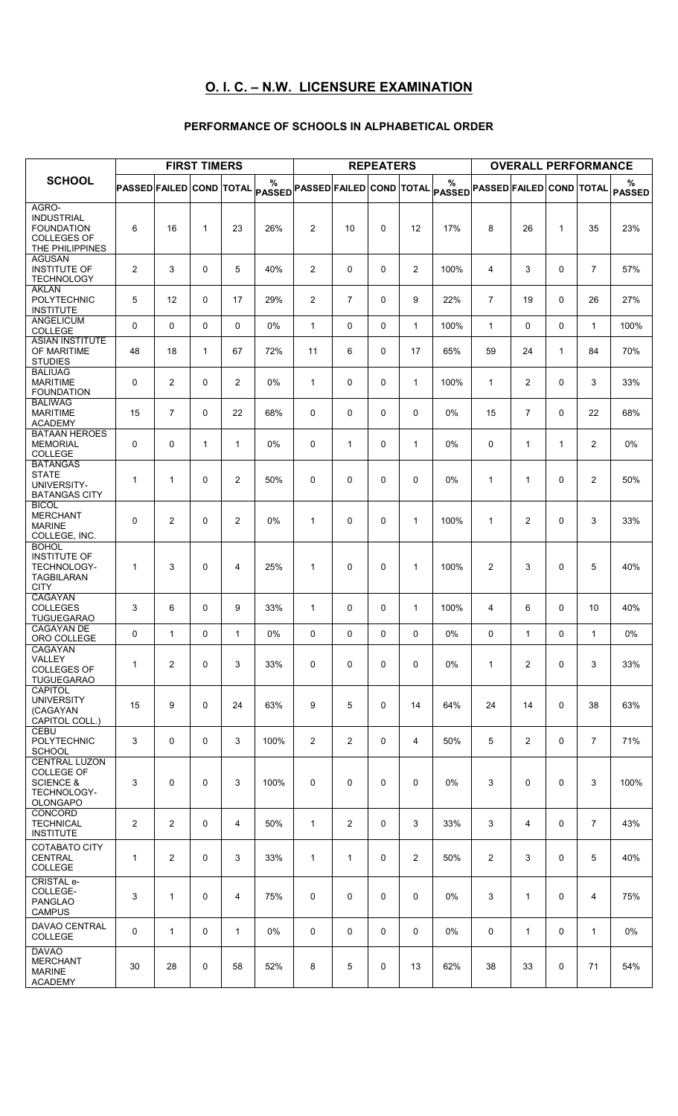# O. I. C. – N.W. LICENSURE EXAMINATION

### PERFORMANCE OF SCHOOLS IN ALPHABETICAL ORDER

|                                                                                               |                                 |                | <b>FIRST TIMERS</b> |                |                                      |                |                | <b>REPEATERS</b> |                |                                      |                | <b>OVERALL PERFORMANCE</b> |              |                |                    |
|-----------------------------------------------------------------------------------------------|---------------------------------|----------------|---------------------|----------------|--------------------------------------|----------------|----------------|------------------|----------------|--------------------------------------|----------------|----------------------------|--------------|----------------|--------------------|
| <b>SCHOOL</b>                                                                                 | <b>PASSED FAILED COND TOTAL</b> |                |                     |                | %<br>PASSED PASSED FAILED COND TOTAL |                |                |                  |                | %<br>PASSED PASSED FAILED COND TOTAL |                |                            |              |                | ℅<br><b>PASSED</b> |
| AGRO-<br><b>INDUSTRIAL</b><br><b>FOUNDATION</b><br><b>COLLEGES OF</b><br>THE PHILIPPINES      | 6                               | 16             | 1                   | 23             | 26%                                  | $\overline{2}$ | 10             | $\Omega$         | 12             | 17%                                  | 8              | 26                         | $\mathbf{1}$ | 35             | 23%                |
| <b>AGUSAN</b><br><b>INSTITUTE OF</b><br><b>TECHNOLOGY</b>                                     | $\overline{2}$                  | 3              | $\mathbf 0$         | 5              | 40%                                  | 2              | 0              | 0                | $\overline{2}$ | 100%                                 | 4              | 3                          | $\Omega$     | $\overline{7}$ | 57%                |
| <b>AKLAN</b><br>POLYTECHNIC<br><b>INSTITUTE</b>                                               | 5                               | 12             | $\mathbf 0$         | 17             | 29%                                  | $\overline{c}$ | 7              | $\mathbf 0$      | 9              | 22%                                  | $\overline{7}$ | 19                         | $\Omega$     | 26             | 27%                |
| <b>ANGELICUM</b><br><b>COLLEGE</b>                                                            | $\Omega$                        | $\Omega$       | $\Omega$            | $\Omega$       | 0%                                   | $\mathbf{1}$   | 0              | 0                | $\mathbf{1}$   | 100%                                 | $\mathbf{1}$   | $\Omega$                   | $\mathbf{0}$ | $\mathbf{1}$   | 100%               |
| <b>ASIAN INSTITUTE</b><br>OF MARITIME<br><b>STUDIES</b>                                       | 48                              | 18             | $\mathbf{1}$        | 67             | 72%                                  | 11             | 6              | 0                | 17             | 65%                                  | 59             | 24                         | $\mathbf{1}$ | 84             | 70%                |
| <b>BALIUAG</b><br><b>MARITIME</b><br><b>FOUNDATION</b>                                        | 0                               | 2              | 0                   | 2              | 0%                                   | 1              | 0              | $\mathbf 0$      | $\mathbf{1}$   | 100%                                 | $\mathbf{1}$   | $\overline{2}$             | $\Omega$     | 3              | 33%                |
| <b>BALIWAG</b><br><b>MARITIME</b><br><b>ACADEMY</b>                                           | 15                              | $\overline{7}$ | $\Omega$            | 22             | 68%                                  | 0              | $\mathbf 0$    | $\mathbf 0$      | 0              | $0\%$                                | 15             | $\overline{7}$             | $\Omega$     | 22             | 68%                |
| <b>BATAAN HEROES</b><br><b>MEMORIAL</b><br><b>COLLEGE</b><br><b>BATANGAS</b>                  | $\Omega$                        | $\mathbf 0$    | $\mathbf{1}$        | $\mathbf{1}$   | 0%                                   | 0              | $\mathbf{1}$   | $\mathbf 0$      | $\mathbf{1}$   | $0\%$                                | 0              | $\mathbf{1}$               | $\mathbf{1}$ | 2              | 0%                 |
| <b>STATE</b><br>UNIVERSITY-<br><b>BATANGAS CITY</b><br><b>BICOL</b>                           | $\mathbf{1}$                    | $\mathbf{1}$   | 0                   | 2              | 50%                                  | 0              | $\mathbf 0$    | 0                | 0              | 0%                                   | $\mathbf{1}$   | 1                          | $\Omega$     | $\overline{2}$ | 50%                |
| <b>MERCHANT</b><br><b>MARINE</b><br>COLLEGE, INC.                                             | $\Omega$                        | 2              | 0                   | 2              | 0%                                   | $\mathbf{1}$   | $\mathbf 0$    | $\mathbf 0$      | $\mathbf{1}$   | 100%                                 | 1              | 2                          | $\Omega$     | 3              | 33%                |
| <b>BOHOL</b><br><b>INSTITUTE OF</b><br><b>TECHNOLOGY-</b><br><b>TAGBILARAN</b><br><b>CITY</b> | $\mathbf{1}$                    | 3              | $\Omega$            | 4              | 25%                                  | $\mathbf{1}$   | 0              | $\mathbf 0$      | $\mathbf{1}$   | 100%                                 | $\overline{2}$ | 3                          | $\Omega$     | 5              | 40%                |
| CAGAYAN<br><b>COLLEGES</b><br><b>TUGUEGARAO</b>                                               | 3                               | 6              | 0                   | 9              | 33%                                  | $\mathbf{1}$   | 0              | 0                | $\mathbf{1}$   | 100%                                 | 4              | 6                          | $\Omega$     | 10             | 40%                |
| <b>CAGAYAN DE</b><br>ORO COLLEGE                                                              | 0                               | $\mathbf{1}$   | 0                   | $\mathbf{1}$   | 0%                                   | 0              | 0              | 0                | 0              | 0%                                   | 0              | $\mathbf{1}$               | $\mathbf{0}$ | $\mathbf{1}$   | 0%                 |
| CAGAYAN<br>VALLEY<br><b>COLLEGES OF</b><br><b>TUGUEGARAO</b>                                  | $\mathbf{1}$                    | $\overline{2}$ | 0                   | 3              | 33%                                  | 0              | 0              | $\mathbf 0$      | 0              | $0\%$                                | $\mathbf{1}$   | $\overline{2}$             | 0            | 3              | 33%                |
| CAPITOL<br><b>UNIVERSITY</b><br>(CAGAYAN<br>CAPITOL COLL.)                                    | 15                              | 9              | 0                   | 24             | 63%                                  | 9              | 5              | 0                | 14             | 64%                                  | 24             | 14                         | $\mathbf 0$  | 38             | 63%                |
| CEBU<br>POLYTECHNIC<br><b>SCHOOL</b>                                                          | 3                               | 0              | 0                   | 3              | 100%                                 | $\overline{2}$ | $\overline{2}$ | $\mathbf 0$      | 4              | 50%                                  | 5              | $\overline{2}$             | $\mathbf{0}$ | $\overline{7}$ | 71%                |
| <b>CENTRAL LUZON</b><br>COLLEGE OF<br><b>SCIENCE &amp;</b><br>TECHNOLOGY-<br><b>OLONGAPO</b>  | 3                               | $\mathbf 0$    | 0                   | 3              | 100%                                 | 0              | 0              | $\mathbf 0$      | 0              | 0%                                   | 3              | $\mathbf 0$                | $\Omega$     | 3              | 100%               |
| CONCORD<br><b>TECHNICAL</b><br><b>INSTITUTE</b>                                               | $\overline{2}$                  | $\overline{c}$ | $\mathbf 0$         | $\overline{4}$ | 50%                                  | $\mathbf{1}$   | $\overline{2}$ | 0                | 3              | 33%                                  | 3              | $\overline{4}$             | $\mathbf 0$  | $\overline{7}$ | 43%                |
| <b>COTABATO CITY</b><br><b>CENTRAL</b><br>COLLEGE                                             | $\mathbf{1}$                    | 2              | 0                   | 3              | 33%                                  | 1              | 1              | 0                | $\overline{2}$ | 50%                                  | $\overline{2}$ | 3                          | $\mathbf 0$  | 5              | 40%                |
| <b>CRISTAL e-</b><br>COLLEGE-<br><b>PANGLAO</b><br><b>CAMPUS</b>                              | 3                               | $\mathbf{1}$   | 0                   | $\overline{4}$ | 75%                                  | 0              | 0              | 0                | 0              | 0%                                   | 3              | $\mathbf{1}$               | 0            | 4              | 75%                |
| DAVAO CENTRAL<br><b>COLLEGE</b>                                                               | 0                               | $\mathbf{1}$   | 0                   | $\mathbf{1}$   | 0%                                   | 0              | 0              | 0                | 0              | 0%                                   | 0              | $\mathbf{1}$               | 0            | $\mathbf{1}$   | 0%                 |
| <b>DAVAO</b><br><b>MERCHANT</b><br><b>MARINE</b><br><b>ACADEMY</b>                            | 30                              | 28             | $\mathbf 0$         | 58             | 52%                                  | 8              | 5              | 0                | 13             | 62%                                  | 38             | 33                         | $\mathbf 0$  | 71             | 54%                |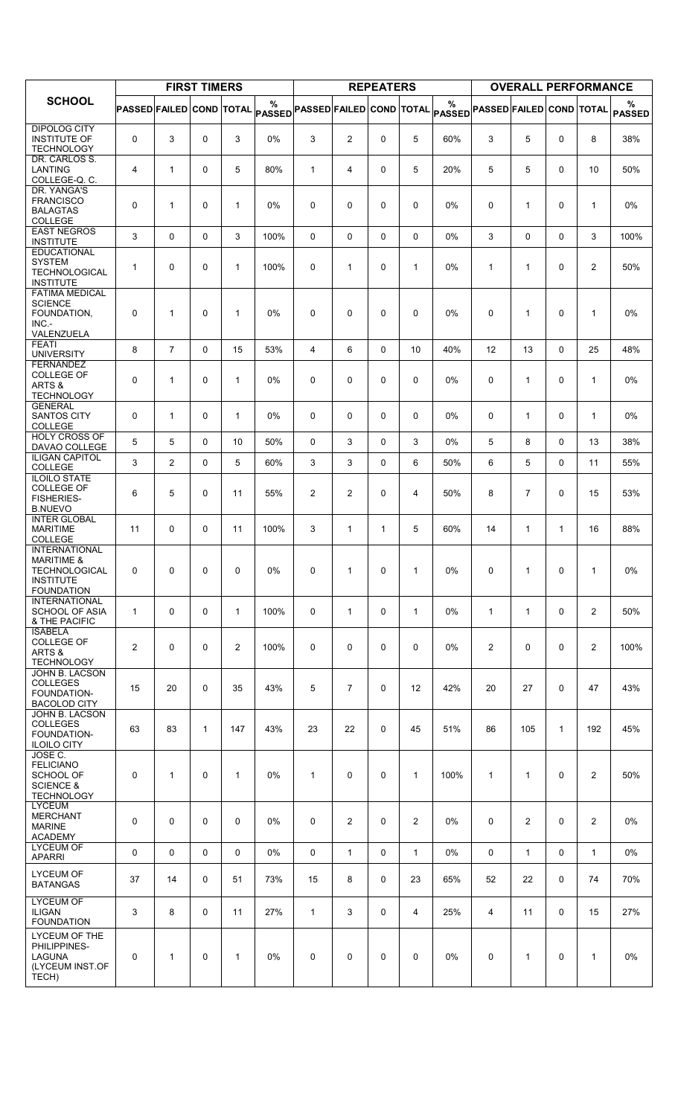|                                                                                              |                                 |                | <b>FIRST TIMERS</b> |                |                    |                          |                | <b>REPEATERS</b> |                |                    |                                 | <b>OVERALL PERFORMANCE</b> |              |                |                    |
|----------------------------------------------------------------------------------------------|---------------------------------|----------------|---------------------|----------------|--------------------|--------------------------|----------------|------------------|----------------|--------------------|---------------------------------|----------------------------|--------------|----------------|--------------------|
| <b>SCHOOL</b>                                                                                | <b>PASSED FAILED COND TOTAL</b> |                |                     |                | %<br><b>PASSED</b> | PASSED FAILED COND TOTAL |                |                  |                | %<br><b>PASSED</b> | <b>PASSED FAILED COND TOTAL</b> |                            |              |                | %<br><b>PASSED</b> |
| <b>DIPOLOG CITY</b><br><b>INSTITUTE OF</b><br><b>TECHNOLOGY</b>                              | 0                               | 3              | 0                   | 3              | 0%                 | 3                        | $\overline{2}$ | 0                | 5              | 60%                | 3                               | 5                          | 0            | 8              | 38%                |
| DR. CARLOS S.<br><b>LANTING</b><br>COLLEGE-Q.C.                                              | 4                               | $\mathbf{1}$   | $\mathbf 0$         | 5              | 80%                | $\mathbf{1}$             | 4              | 0                | 5              | 20%                | 5                               | 5                          | $\mathbf{0}$ | 10             | 50%                |
| DR. YANGA'S<br><b>FRANCISCO</b><br><b>BALAGTAS</b>                                           | 0                               | 1              | 0                   | $\mathbf{1}$   | 0%                 | 0                        | $\mathbf 0$    | 0                | 0              | 0%                 | 0                               | $\mathbf{1}$               | $\mathbf 0$  | 1              | 0%                 |
| COLLEGE<br><b>EAST NEGROS</b><br><b>INSTITUTE</b>                                            | 3                               | 0              | 0                   | 3              | 100%               | $\mathbf 0$              | 0              | 0                | 0              | 0%                 | 3                               | 0                          | 0            | 3              | 100%               |
| <b>EDUCATIONAL</b><br><b>SYSTEM</b><br><b>TECHNOLOGICAL</b><br><b>INSTITUTE</b>              | 1                               | $\mathbf 0$    | 0                   | $\mathbf{1}$   | 100%               | 0                        | 1              | 0                | 1              | 0%                 | $\mathbf{1}$                    | $\mathbf{1}$               | 0            | 2              | 50%                |
| <b>FATIMA MEDICAL</b><br><b>SCIENCE</b><br>FOUNDATION,<br>$INC -$<br>VALENZUELA              | 0                               | 1              | 0                   | $\mathbf{1}$   | 0%                 | 0                        | $\mathbf 0$    | 0                | 0              | 0%                 | 0                               | $\mathbf{1}$               | $\mathbf 0$  | 1              | 0%                 |
| <b>FEATI</b><br><b>UNIVERSITY</b>                                                            | 8                               | $\overline{7}$ | $\mathbf{0}$        | 15             | 53%                | 4                        | 6              | 0                | 10             | 40%                | 12                              | 13                         | $\mathbf{0}$ | 25             | 48%                |
| <b>FERNANDEZ</b><br><b>COLLEGE OF</b><br>ARTS &<br><b>TECHNOLOGY</b>                         | 0                               | 1              | 0                   | $\mathbf{1}$   | 0%                 | 0                        | $\mathbf 0$    | 0                | 0              | 0%                 | 0                               | $\mathbf{1}$               | $\mathbf 0$  | 1              | 0%                 |
| <b>GENERAL</b><br><b>SANTOS CITY</b><br>COLLEGE                                              | 0                               | 1              | 0                   | $\mathbf{1}$   | 0%                 | $\mathbf 0$              | $\mathbf 0$    | 0                | 0              | $0\%$              | 0                               | $\mathbf{1}$               | $\mathbf{0}$ | $\mathbf{1}$   | 0%                 |
| <b>HOLY CROSS OF</b><br>DAVAO COLLEGE                                                        | 5                               | 5              | 0                   | 10             | 50%                | 0                        | 3              | 0                | 3              | $0\%$              | 5                               | 8                          | 0            | 13             | 38%                |
| <b>ILIGAN CAPITOL</b><br>COLLEGE                                                             | 3                               | $\mathbf{2}$   | $\mathbf 0$         | 5              | 60%                | 3                        | 3              | 0                | 6              | 50%                | 6                               | 5                          | 0            | 11             | 55%                |
| <b>ILOILO STATE</b><br><b>COLLEGE OF</b><br><b>FISHERIES-</b><br><b>B.NUEVO</b>              | 6                               | 5              | 0                   | 11             | 55%                | $\overline{2}$           | $\overline{2}$ | 0                | $\overline{4}$ | 50%                | 8                               | $\overline{7}$             | $\mathbf 0$  | 15             | 53%                |
| <b>INTER GLOBAL</b><br><b>MARITIME</b><br>COLLEGE<br><b>INTERNATIONAL</b>                    | 11                              | 0              | 0                   | 11             | 100%               | 3                        | $\mathbf{1}$   | $\mathbf{1}$     | 5              | 60%                | 14                              | $\mathbf{1}$               | $\mathbf{1}$ | 16             | 88%                |
| <b>MARITIME &amp;</b><br>TECHNOLOGICAL<br><b>INSTITUTE</b><br><b>FOUNDATION</b>              | 0                               | 0              | 0                   | 0              | 0%                 | $\mathbf 0$              | $\mathbf{1}$   | 0                | $\mathbf{1}$   | 0%                 | 0                               | $\mathbf 1$                | 0            | 1              | 0%                 |
| <b>INTERNATIONAL</b><br><b>SCHOOL OF ASIA</b><br>& THE PACIFIC                               | $\mathbf{1}$                    | $\Omega$       | 0                   | $\mathbf{1}$   | 100%               | 0                        | $\mathbf{1}$   | 0                | $\mathbf{1}$   | $0\%$              | $\mathbf{1}$                    | $\mathbf 1$                | $\mathbf{0}$ | $\overline{2}$ | 50%                |
| <b>ISABELA</b><br>COLLEGE OF<br>ARTS &<br><b>TECHNOLOGY</b>                                  | $\overline{c}$                  | $\mathbf 0$    | 0                   | $\overline{2}$ | 100%               | 0                        | 0              | 0                | 0              | 0%                 | 2                               | 0                          | 0            | $\overline{c}$ | 100%               |
| JOHN B. LACSON<br><b>COLLEGES</b><br>FOUNDATION-<br><b>BACOLOD CITY</b>                      | 15                              | 20             | $\Omega$            | 35             | 43%                | 5                        | $\overline{7}$ | 0                | 12             | 42%                | 20                              | 27                         | $\mathbf{0}$ | 47             | 43%                |
| JOHN B. LACSON<br><b>COLLEGES</b><br>FOUNDATION-<br><b>ILOILO CITY</b>                       | 63                              | 83             | 1                   | 147            | 43%                | 23                       | 22             | 0                | 45             | 51%                | 86                              | 105                        | $\mathbf{1}$ | 192            | 45%                |
| JOSE C.<br><b>FELICIANO</b><br><b>SCHOOL OF</b><br><b>SCIENCE &amp;</b><br><b>TECHNOLOGY</b> | 0                               | 1              | 0                   | $\mathbf{1}$   | 0%                 | 1                        | 0              | 0                | $\mathbf{1}$   | 100%               | $\mathbf{1}$                    | $\mathbf{1}$               | $\Omega$     | $\overline{c}$ | 50%                |
| <b>LYCEUM</b><br><b>MERCHANT</b><br><b>MARINE</b><br><b>ACADEMY</b>                          | 0                               | $\mathbf{0}$   | $\mathbf 0$         | 0              | 0%                 | 0                        | $\overline{2}$ | 0                | $\overline{2}$ | $0\%$              | 0                               | $\overline{2}$             | $\mathbf{0}$ | $\overline{2}$ | $0\%$              |
| <b>LYCEUM OF</b><br><b>APARRI</b>                                                            | 0                               | $\Omega$       | $\mathbf{0}$        | $\Omega$       | 0%                 | $\mathbf 0$              | $\mathbf{1}$   | $\mathbf 0$      | $\mathbf{1}$   | $0\%$              | $\Omega$                        | $\mathbf{1}$               | $\mathbf 0$  | $\mathbf{1}$   | 0%                 |
| <b>LYCEUM OF</b><br><b>BATANGAS</b>                                                          | 37                              | 14             | $\mathbf 0$         | 51             | 73%                | 15                       | 8              | 0                | 23             | 65%                | 52                              | 22                         | 0            | 74             | 70%                |
| <b>LYCEUM OF</b><br><b>ILIGAN</b><br><b>FOUNDATION</b>                                       | 3                               | 8              | 0                   | 11             | 27%                | $\mathbf{1}$             | 3              | 0                | 4              | 25%                | 4                               | 11                         | 0            | 15             | 27%                |
| LYCEUM OF THE<br>PHILIPPINES-<br>LAGUNA<br>(LYCEUM INST.OF<br>TECH)                          | 0                               | 1              | 0                   | $\mathbf{1}$   | 0%                 | 0                        | 0              | 0                | 0              | 0%                 | 0                               | $\mathbf{1}$               | 0            | 1              | 0%                 |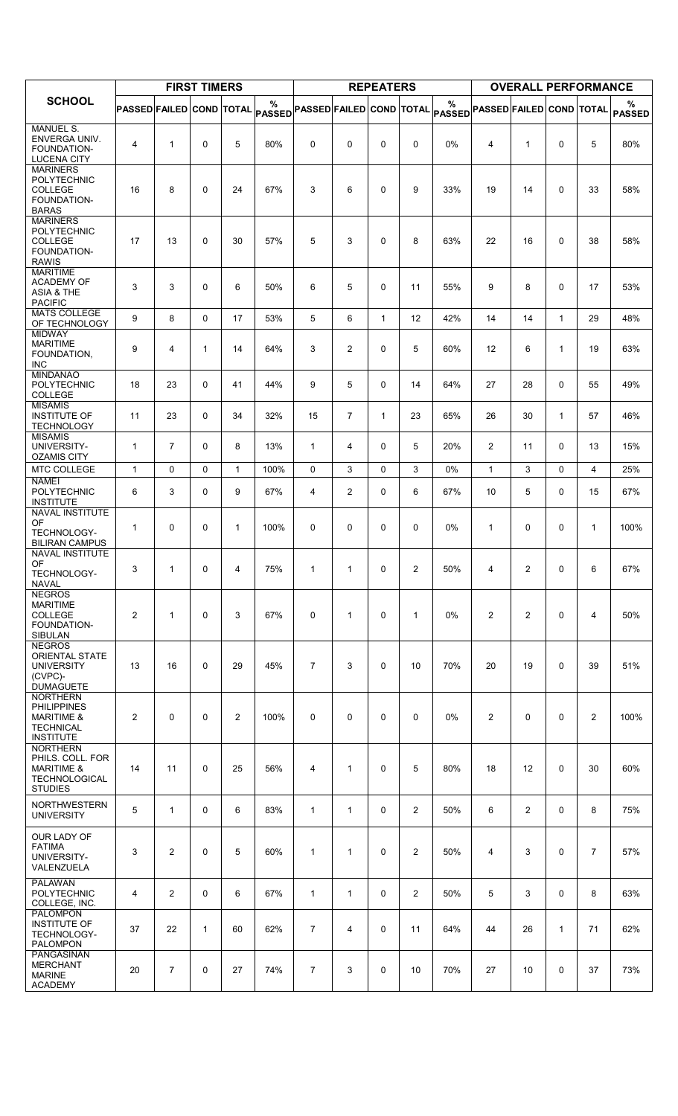|                                                                                                        |                                 |                | <b>FIRST TIMERS</b> |                |      |                                                                        |                | <b>REPEATERS</b> |                |                    |                                 | <b>OVERALL PERFORMANCE</b> |              |                |                    |
|--------------------------------------------------------------------------------------------------------|---------------------------------|----------------|---------------------|----------------|------|------------------------------------------------------------------------|----------------|------------------|----------------|--------------------|---------------------------------|----------------------------|--------------|----------------|--------------------|
| <b>SCHOOL</b>                                                                                          | <b>PASSED FAILED COND TOTAL</b> |                |                     |                | %    | $ \mathsf{passED} $ PASSED $ \mathsf{FAILED} \mathsf{COND}\vert$ total |                |                  |                | %<br><b>PASSED</b> | <b>PASSED FAILED COND TOTAL</b> |                            |              |                | %<br><b>PASSED</b> |
| <b>MANUEL S.</b><br>ENVERGA UNIV.<br>FOUNDATION-<br><b>LUCENA CITY</b>                                 | 4                               | $\mathbf{1}$   | 0                   | 5              | 80%  | $\mathbf 0$                                                            | 0              | 0                | 0              | 0%                 | 4                               | 1                          | $\Omega$     | 5              | 80%                |
| <b>MARINERS</b><br>POLYTECHNIC<br><b>COLLEGE</b><br>FOUNDATION-<br><b>BARAS</b>                        | 16                              | 8              | $\mathbf 0$         | 24             | 67%  | 3                                                                      | 6              | 0                | 9              | 33%                | 19                              | 14                         | 0            | 33             | 58%                |
| <b>MARINERS</b><br>POLYTECHNIC<br><b>COLLEGE</b><br>FOUNDATION-<br><b>RAWIS</b>                        | 17                              | 13             | $\mathbf 0$         | 30             | 57%  | 5                                                                      | 3              | 0                | 8              | 63%                | 22                              | 16                         | 0            | 38             | 58%                |
| <b>MARITIME</b><br><b>ACADEMY OF</b><br><b>ASIA &amp; THE</b><br><b>PACIFIC</b>                        | 3                               | 3              | $\mathbf 0$         | 6              | 50%  | 6                                                                      | 5              | 0                | 11             | 55%                | 9                               | 8                          | 0            | 17             | 53%                |
| <b>MATS COLLEGE</b><br>OF TECHNOLOGY                                                                   | 9                               | 8              | 0                   | 17             | 53%  | 5                                                                      | 6              | $\mathbf{1}$     | 12             | 42%                | 14                              | 14                         | $\mathbf{1}$ | 29             | 48%                |
| <b>MIDWAY</b><br><b>MARITIME</b><br>FOUNDATION,<br><b>INC</b>                                          | 9                               | 4              | 1                   | 14             | 64%  | 3                                                                      | $\overline{c}$ | 0                | 5              | 60%                | 12                              | 6                          | 1            | 19             | 63%                |
| <b>MINDANAO</b><br>POLYTECHNIC<br>COLLEGE                                                              | 18                              | 23             | 0                   | 41             | 44%  | 9                                                                      | 5              | 0                | 14             | 64%                | 27                              | 28                         | 0            | 55             | 49%                |
| <b>MISAMIS</b><br><b>INSTITUTE OF</b><br><b>TECHNOLOGY</b><br><b>MISAMIS</b>                           | 11                              | 23             | 0                   | 34             | 32%  | 15                                                                     | $\overline{7}$ | $\mathbf{1}$     | 23             | 65%                | 26                              | 30                         | $\mathbf{1}$ | 57             | 46%                |
| UNIVERSITY-                                                                                            | 1                               | $\overline{7}$ | $\mathbf 0$         | 8              | 13%  | $\mathbf{1}$                                                           | 4              | 0                | 5              | 20%                | $\overline{c}$                  | 11                         | 0            | 13             | 15%                |
| <b>OZAMIS CITY</b><br>MTC COLLEGE                                                                      | $\mathbf{1}$                    | $\Omega$       | 0                   | $\mathbf{1}$   | 100% | 0                                                                      | 3              | 0                | 3              | 0%                 | $\mathbf{1}$                    | 3                          | $\Omega$     | 4              | 25%                |
| <b>NAMEI</b><br>POLYTECHNIC<br><b>INSTITUTE</b>                                                        | 6                               | 3              | 0                   | 9              | 67%  | 4                                                                      | 2              | 0                | 6              | 67%                | 10                              | 5                          | 0            | 15             | 67%                |
| NAVAL INSTITUTE<br>OF<br>TECHNOLOGY-<br><b>BILIRAN CAMPUS</b>                                          | 1                               | 0              | 0                   | 1              | 100% | 0                                                                      | 0              | 0                | 0              | 0%                 | $\mathbf{1}$                    | 0                          | 0            | $\mathbf{1}$   | 100%               |
| <b>NAVAL INSTITUTE</b><br>OF<br><b>TECHNOLOGY-</b><br><b>NAVAL</b><br><b>NEGROS</b>                    | 3                               | $\mathbf{1}$   | 0                   | 4              | 75%  | 1                                                                      | 1              | 0                | $\overline{2}$ | 50%                | 4                               | 2                          | 0            | 6              | 67%                |
| <b>MARITIME</b><br>COLLEGE<br>FOUNDATION-<br><b>SIBULAN</b>                                            | $\mathbf{2}^{\prime}$           | $\mathbf{1}$   | 0                   | 3              | 67%  | 0                                                                      | $\mathbf{1}$   | 0                | 1              | 0%                 | 2                               | $\overline{2}$             | 0            | 4              | 50%                |
| <b>NEGROS</b><br><b>ORIENTAL STATE</b><br><b>UNIVERSITY</b><br>(CVPC)-<br><b>DUMAGUETE</b>             | 13                              | 16             | $\mathbf 0$         | 29             | 45%  | $\overline{7}$                                                         | 3              | 0                | 10             | 70%                | 20                              | 19                         | $\Omega$     | 39             | 51%                |
| <b>NORTHERN</b><br><b>PHILIPPINES</b><br><b>MARITIME &amp;</b><br><b>TECHNICAL</b><br><b>INSTITUTE</b> | $\overline{2}$                  | $\mathbf{0}$   | $\Omega$            | $\overline{2}$ | 100% | $\mathbf 0$                                                            | 0              | $\Omega$         | 0              | 0%                 | $\overline{2}$                  | $\Omega$                   | $\Omega$     | 2              | 100%               |
| <b>NORTHERN</b><br>PHILS. COLL. FOR<br><b>MARITIME &amp;</b><br><b>TECHNOLOGICAL</b><br><b>STUDIES</b> | 14                              | 11             | $\mathbf 0$         | 25             | 56%  | 4                                                                      | $\mathbf{1}$   | 0                | 5              | 80%                | 18                              | 12                         | $\Omega$     | 30             | 60%                |
| <b>NORTHWESTERN</b><br><b>UNIVERSITY</b>                                                               | 5                               | $\mathbf{1}$   | 0                   | 6              | 83%  | $\mathbf{1}$                                                           | $\mathbf{1}$   | 0                | $\overline{2}$ | 50%                | 6                               | $\overline{2}$             | $\Omega$     | 8              | 75%                |
| OUR LADY OF<br><b>FATIMA</b><br>UNIVERSITY-<br>VALENZUELA                                              | 3                               | $\overline{c}$ | $\mathbf 0$         | 5              | 60%  | $\mathbf{1}$                                                           | $\mathbf{1}$   | 0                | $\overline{2}$ | 50%                | $\overline{4}$                  | 3                          | 0            | $\overline{7}$ | 57%                |
| <b>PALAWAN</b><br>POLYTECHNIC<br>COLLEGE, INC.                                                         | 4                               | $\overline{2}$ | 0                   | 6              | 67%  | $\mathbf{1}$                                                           | 1              | 0                | $\overline{c}$ | 50%                | 5                               | 3                          | 0            | 8              | 63%                |
| <b>PALOMPON</b><br><b>INSTITUTE OF</b><br>TECHNOLOGY-<br><b>PALOMPON</b>                               | 37                              | 22             | $\mathbf{1}$        | 60             | 62%  | $\overline{7}$                                                         | 4              | 0                | 11             | 64%                | 44                              | 26                         | $\mathbf{1}$ | 71             | 62%                |
| <b>PANGASINAN</b><br><b>MERCHANT</b><br><b>MARINE</b><br><b>ACADEMY</b>                                | 20                              | $\overline{7}$ | 0                   | 27             | 74%  | $\overline{7}$                                                         | 3              | 0                | 10             | 70%                | 27                              | 10                         | 0            | 37             | 73%                |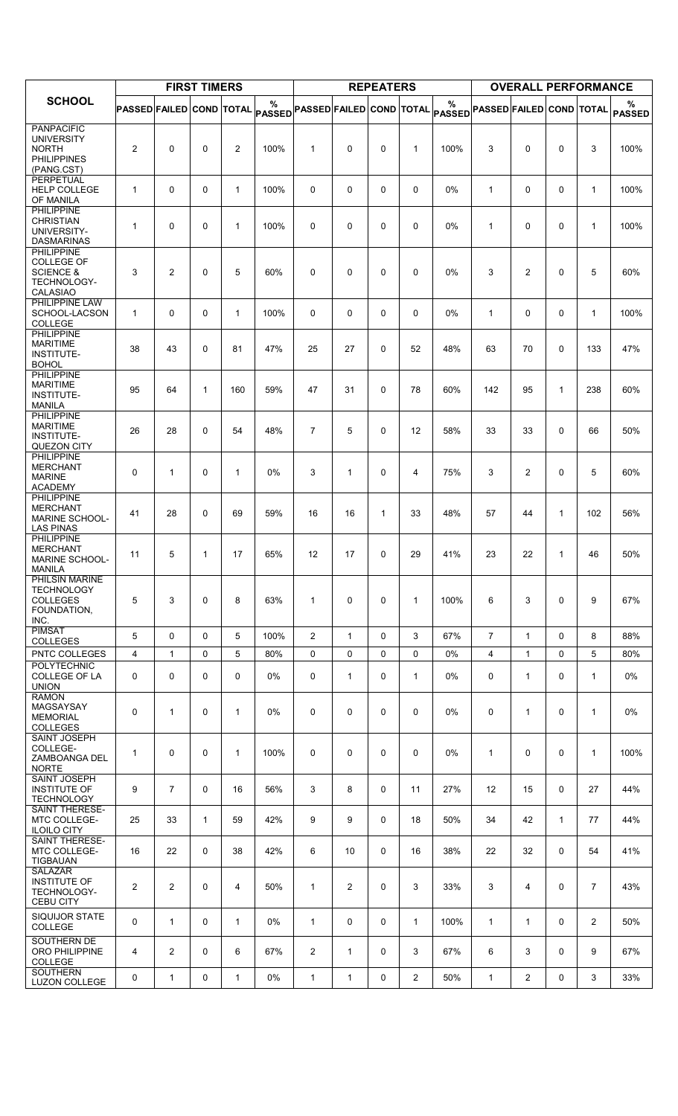|                                                                                                  |                                 |                | <b>FIRST TIMERS</b> |              |                       |                                 |                | <b>REPEATERS</b> |                |                    |                                 | <b>OVERALL PERFORMANCE</b> |              |                |                    |
|--------------------------------------------------------------------------------------------------|---------------------------------|----------------|---------------------|--------------|-----------------------|---------------------------------|----------------|------------------|----------------|--------------------|---------------------------------|----------------------------|--------------|----------------|--------------------|
| <b>SCHOOL</b>                                                                                    | <b>PASSED FAILED COND TOTAL</b> |                |                     |              | $\%$<br><b>PASSED</b> | <b>PASSED FAILED COND TOTAL</b> |                |                  |                | %<br><b>PASSED</b> | <b>PASSED FAILED COND TOTAL</b> |                            |              |                | %<br><b>PASSED</b> |
| <b>PANPACIFIC</b><br><b>UNIVERSITY</b><br><b>NORTH</b><br><b>PHILIPPINES</b><br>(PANG.CST)       | 2                               | $\Omega$       | $\Omega$            | 2            | 100%                  | $\mathbf{1}$                    | $\mathbf 0$    | 0                | $\mathbf{1}$   | 100%               | 3                               | 0                          | $\Omega$     | 3              | 100%               |
| <b>PERPETUAL</b><br><b>HELP COLLEGE</b><br>OF MANILA                                             | $\mathbf{1}$                    | 0              | 0                   | $\mathbf{1}$ | 100%                  | 0                               | $\mathbf 0$    | 0                | 0              | $0\%$              | $\mathbf{1}$                    | 0                          | 0            | $\mathbf{1}$   | 100%               |
| <b>PHILIPPINE</b><br><b>CHRISTIAN</b><br>UNIVERSITY-<br><b>DASMARINAS</b>                        | $\mathbf{1}$                    | $\mathbf 0$    | $\mathbf 0$         | $\mathbf{1}$ | 100%                  | 0                               | $\mathbf 0$    | $\mathbf 0$      | 0              | 0%                 | $\mathbf{1}$                    | 0                          | $\mathbf 0$  | $\mathbf{1}$   | 100%               |
| <b>PHILIPPINE</b><br><b>COLLEGE OF</b><br><b>SCIENCE &amp;</b><br>TECHNOLOGY-<br><b>CALASIAO</b> | 3                               | $\overline{2}$ | $\Omega$            | 5            | 60%                   | 0                               | $\mathbf 0$    | $\mathbf 0$      | 0              | 0%                 | 3                               | $\overline{2}$             | $\Omega$     | 5              | 60%                |
| PHILIPPINE LAW<br>SCHOOL-LACSON<br><b>COLLEGE</b>                                                | $\mathbf{1}$                    | 0              | 0                   | $\mathbf{1}$ | 100%                  | 0                               | $\mathbf 0$    | 0                | 0              | 0%                 | $\mathbf{1}$                    | 0                          | 0            | $\mathbf{1}$   | 100%               |
| <b>PHILIPPINE</b><br><b>MARITIME</b><br><b>INSTITUTE-</b><br><b>BOHOL</b>                        | 38                              | 43             | $\mathbf 0$         | 81           | 47%                   | 25                              | 27             | 0                | 52             | 48%                | 63                              | 70                         | $\mathbf 0$  | 133            | 47%                |
| <b>PHILIPPINE</b><br><b>MARITIME</b><br><b>INSTITUTE-</b><br><b>MANILA</b>                       | 95                              | 64             | $\mathbf{1}$        | 160          | 59%                   | 47                              | 31             | 0                | 78             | 60%                | 142                             | 95                         | 1            | 238            | 60%                |
| <b>PHILIPPINE</b><br><b>MARITIME</b><br><b>INSTITUTE-</b><br><b>QUEZON CITY</b>                  | 26                              | 28             | $\Omega$            | 54           | 48%                   | $\overline{7}$                  | 5              | 0                | 12             | 58%                | 33                              | 33                         | $\Omega$     | 66             | 50%                |
| <b>PHILIPPINE</b><br><b>MERCHANT</b><br><b>MARINE</b><br><b>ACADEMY</b>                          | $\mathbf 0$                     | $\mathbf{1}$   | $\mathbf 0$         | $\mathbf{1}$ | 0%                    | 3                               | $\mathbf{1}$   | 0                | 4              | 75%                | 3                               | $\overline{c}$             | $\Omega$     | 5              | 60%                |
| <b>PHILIPPINE</b><br><b>MERCHANT</b><br><b>MARINE SCHOOL-</b><br><b>LAS PINAS</b>                | 41                              | 28             | $\Omega$            | 69           | 59%                   | 16                              | 16             | $\mathbf{1}$     | 33             | 48%                | 57                              | 44                         | 1            | 102            | 56%                |
| <b>PHILIPPINE</b><br><b>MERCHANT</b><br><b>MARINE SCHOOL-</b><br><b>MANILA</b>                   | 11                              | 5              | $\mathbf{1}$        | 17           | 65%                   | 12                              | 17             | 0                | 29             | 41%                | 23                              | 22                         | 1            | 46             | 50%                |
| PHILSIN MARINE<br><b>TECHNOLOGY</b><br><b>COLLEGES</b><br>FOUNDATION,<br>INC.                    | 5                               | 3              | $\mathbf 0$         | 8            | 63%                   | 1                               | $\mathbf 0$    | 0                | $\mathbf{1}$   | 100%               | 6                               | 3                          | $\mathbf 0$  | 9              | 67%                |
| <b>PIMSAT</b><br><b>COLLEGES</b>                                                                 | 5                               | $\mathbf{0}$   | $\Omega$            | 5            | 100%                  | $\overline{2}$                  | $\mathbf{1}$   | 0                | 3              | 67%                | $\overline{7}$                  | $\mathbf{1}$               | $\mathbf{0}$ | 8              | 88%                |
| PNTC COLLEGES<br><b>POLYTECHNIC</b>                                                              | $\overline{4}$                  | $\mathbf{1}$   | 0                   | 5            | 80%                   | 0                               | $\mathbf 0$    | 0                | 0              | 0%                 | 4                               | $\mathbf{1}$               | $\mathbf{0}$ | 5              | 80%                |
| COLLEGE OF LA<br><b>UNION</b>                                                                    | 0                               | 0              | 0                   | 0            | 0%                    | 0                               | $\mathbf{1}$   | 0                | $\mathbf{1}$   | 0%                 | 0                               | 1                          | 0            | $\mathbf{1}$   | 0%                 |
| <b>RAMON</b><br>MAGSAYSAY<br><b>MEMORIAL</b><br><b>COLLEGES</b>                                  | 0                               | $\mathbf{1}$   | $\mathbf 0$         | $\mathbf{1}$ | 0%                    | 0                               | $\mathbf 0$    | 0                | 0              | $0\%$              | 0                               | $\mathbf 1$                | $\Omega$     | $\mathbf{1}$   | 0%                 |
| SAINT JOSEPH<br>COLLEGE-<br>ZAMBOANGA DEL<br><b>NORTE</b>                                        | 1                               | $\mathbf 0$    | $\mathbf 0$         | 1            | 100%                  | 0                               | $\mathbf 0$    | 0                | 0              | $0\%$              | $\mathbf{1}$                    | 0                          | $\mathbf 0$  | $\mathbf{1}$   | 100%               |
| <b>SAINT JOSEPH</b><br><b>INSTITUTE OF</b><br><b>TECHNOLOGY</b>                                  | 9                               | $\overline{7}$ | 0                   | 16           | 56%                   | 3                               | 8              | 0                | 11             | 27%                | 12                              | 15                         | $\mathbf 0$  | 27             | 44%                |
| <b>SAINT THERESE-</b><br>MTC COLLEGE-<br><b>ILOILO CITY</b>                                      | 25                              | 33             | $\mathbf{1}$        | 59           | 42%                   | 9                               | 9              | 0                | 18             | 50%                | 34                              | 42                         | $\mathbf{1}$ | 77             | 44%                |
| <b>SAINT THERESE-</b><br>MTC COLLEGE-<br><b>TIGBAUAN</b>                                         | 16                              | 22             | $\mathbf 0$         | 38           | 42%                   | 6                               | 10             | 0                | 16             | 38%                | 22                              | 32                         | $\mathbf 0$  | 54             | 41%                |
| SALAZAR<br><b>INSTITUTE OF</b><br>TECHNOLOGY-<br><b>CEBU CITY</b>                                | 2                               | 2              | $\mathbf 0$         | 4            | 50%                   | 1                               | $\overline{2}$ | 0                | 3              | 33%                | 3                               | 4                          | $\mathbf{0}$ | $\overline{7}$ | 43%                |
| <b>SIQUIJOR STATE</b><br>COLLEGE                                                                 | $\Omega$                        | $\mathbf{1}$   | $\mathbf 0$         | $\mathbf{1}$ | 0%                    | $\mathbf{1}$                    | 0              | 0                | $\mathbf{1}$   | 100%               | $\mathbf{1}$                    | $\mathbf{1}$               | $\mathbf 0$  | $\overline{2}$ | 50%                |
| SOUTHERN DE<br>ORO PHILIPPINE<br>COLLEGE                                                         | 4                               | 2              | 0                   | 6            | 67%                   | $\overline{\mathbf{c}}$         | $\mathbf{1}$   | 0                | 3              | 67%                | 6                               | 3                          | $\mathbf 0$  | 9              | 67%                |
| <b>SOUTHERN</b><br><b>LUZON COLLEGE</b>                                                          | 0                               | 1              | 0                   | $\mathbf{1}$ | 0%                    | 1                               | $\mathbf{1}$   | 0                | $\overline{c}$ | 50%                | $\mathbf{1}$                    | $\overline{2}$             | 0            | 3              | 33%                |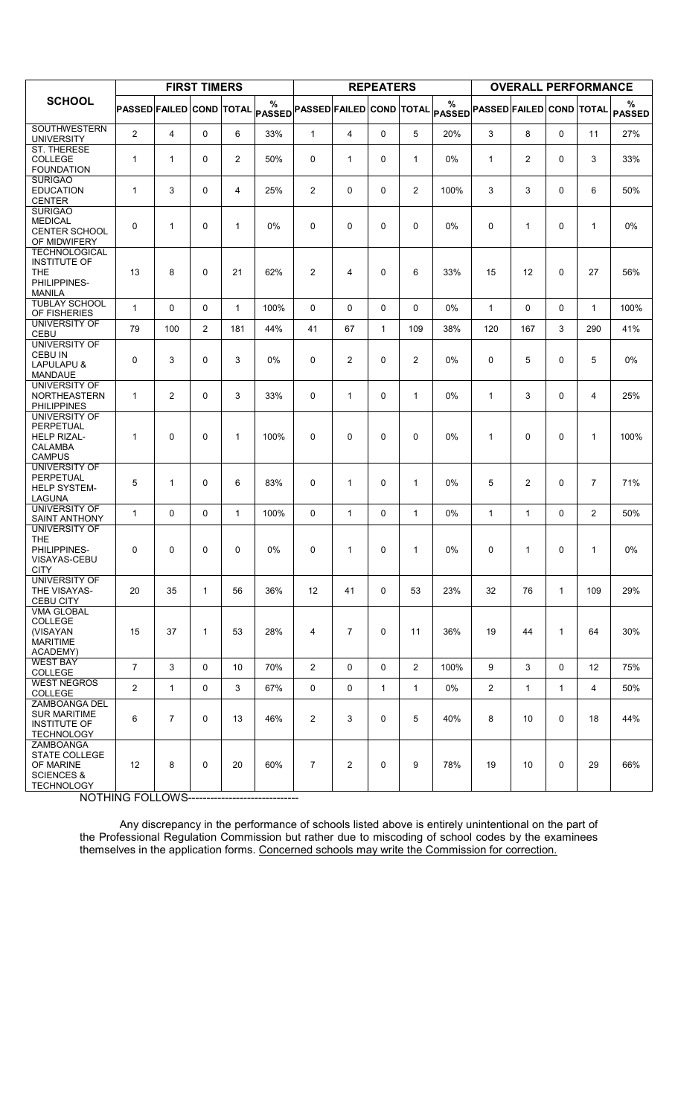|                                                                                            |                                 |                | <b>FIRST TIMERS</b> |                |                    |                                 |                | <b>REPEATERS</b> |                |                    |                                 | <b>OVERALL PERFORMANCE</b> |              |                |                    |
|--------------------------------------------------------------------------------------------|---------------------------------|----------------|---------------------|----------------|--------------------|---------------------------------|----------------|------------------|----------------|--------------------|---------------------------------|----------------------------|--------------|----------------|--------------------|
| <b>SCHOOL</b>                                                                              | <b>PASSED FAILED COND TOTAL</b> |                |                     |                | %<br><b>PASSED</b> | <b>PASSED FAILED COND TOTAL</b> |                |                  |                | %<br><b>PASSED</b> | <b>PASSED FAILED COND TOTAL</b> |                            |              |                | %<br><b>PASSED</b> |
| <b>SOUTHWESTERN</b><br><b>UNIVERSITY</b>                                                   | $\overline{c}$                  | 4              | 0                   | 6              | 33%                | $\mathbf{1}$                    | $\overline{4}$ | 0                | 5              | 20%                | 3                               | 8                          | 0            | 11             | 27%                |
| <b>ST. THERESE</b><br><b>COLLEGE</b><br><b>FOUNDATION</b>                                  | $\mathbf{1}$                    | $\mathbf{1}$   | $\mathbf 0$         | $\overline{2}$ | 50%                | 0                               | $\mathbf{1}$   | 0                | $\mathbf{1}$   | 0%                 | $\mathbf{1}$                    | $\overline{2}$             | 0            | 3              | 33%                |
| <b>SURIGAO</b><br><b>EDUCATION</b><br><b>CENTER</b>                                        | $\mathbf{1}$                    | 3              | $\Omega$            | $\overline{4}$ | 25%                | $\overline{2}$                  | $\Omega$       | $\Omega$         | $\overline{2}$ | 100%               | 3                               | 3                          | 0            | 6              | 50%                |
| <b>SURIGAO</b><br><b>MEDICAL</b><br><b>CENTER SCHOOL</b><br>OF MIDWIFERY                   | 0                               | $\mathbf{1}$   | $\Omega$            | $\mathbf{1}$   | 0%                 | 0                               | 0              | 0                | 0              | 0%                 | $\mathbf 0$                     | $\mathbf{1}$               | 0            | $\mathbf{1}$   | 0%                 |
| <b>TECHNOLOGICAL</b><br><b>INSTITUTE OF</b><br><b>THE</b><br>PHILIPPINES-<br><b>MANILA</b> | 13                              | 8              | $\Omega$            | 21             | 62%                | $\overline{c}$                  | 4              | $\Omega$         | 6              | 33%                | 15                              | 12                         | 0            | 27             | 56%                |
| <b>TUBLAY SCHOOL</b><br>OF FISHERIES                                                       | $\mathbf{1}$                    | $\mathbf{0}$   | $\Omega$            | $\mathbf{1}$   | 100%               | 0                               | $\Omega$       | $\Omega$         | $\Omega$       | 0%                 | $\mathbf{1}$                    | 0                          | 0            | $\mathbf{1}$   | 100%               |
| UNIVERSITY OF<br><b>CEBU</b>                                                               | 79                              | 100            | 2                   | 181            | 44%                | 41                              | 67             | $\mathbf{1}$     | 109            | 38%                | 120                             | 167                        | 3            | 290            | 41%                |
| <b>UNIVERSITY OF</b><br><b>CEBU IN</b><br>LAPULAPU &<br><b>MANDAUE</b>                     | 0                               | 3              | $\Omega$            | 3              | 0%                 | 0                               | $\overline{2}$ | $\Omega$         | $\overline{c}$ | 0%                 | 0                               | 5                          | $\Omega$     | 5              | 0%                 |
| UNIVERSITY OF<br><b>NORTHEASTERN</b><br><b>PHILIPPINES</b>                                 | $\mathbf{1}$                    | 2              | $\mathbf 0$         | 3              | 33%                | 0                               | $\mathbf{1}$   | 0                | $\mathbf{1}$   | 0%                 | $\mathbf{1}$                    | 3                          | 0            | 4              | 25%                |
| UNIVERSITY OF<br>PERPETUAL<br><b>HELP RIZAL-</b><br><b>CALAMBA</b><br><b>CAMPUS</b>        | 1                               | $\Omega$       | $\mathbf 0$         | $\mathbf{1}$   | 100%               | 0                               | 0              | $\Omega$         | $\mathbf 0$    | 0%                 | $\mathbf{1}$                    | 0                          | 0            | $\mathbf{1}$   | 100%               |
| UNIVERSITY OF<br>PERPETUAL<br><b>HELP SYSTEM-</b><br>LAGUNA                                | 5                               | $\mathbf{1}$   | $\Omega$            | 6              | 83%                | 0                               | $\mathbf{1}$   | $\Omega$         | $\mathbf{1}$   | 0%                 | 5                               | $\overline{2}$             | $\Omega$     | $\overline{7}$ | 71%                |
| UNIVERSITY OF<br><b>SAINT ANTHONY</b><br>UNIVERSITY OF                                     | $\mathbf{1}$                    | 0              | 0                   | $\mathbf{1}$   | 100%               | 0                               | $\mathbf{1}$   | $\Omega$         | $\mathbf{1}$   | 0%                 | $\mathbf{1}$                    | $\mathbf 1$                | 0            | $\overline{2}$ | 50%                |
| <b>THE</b><br>PHILIPPINES-<br>VISAYAS-CEBU<br><b>CITY</b>                                  | 0                               | $\Omega$       | $\Omega$            | $\Omega$       | 0%                 | 0                               | $\mathbf{1}$   | $\Omega$         | $\mathbf{1}$   | 0%                 | 0                               | 1                          | 0            | $\mathbf{1}$   | 0%                 |
| UNIVERSITY OF<br>THE VISAYAS-<br><b>CEBU CITY</b>                                          | 20                              | 35             | $\mathbf{1}$        | 56             | 36%                | 12                              | 41             | 0                | 53             | 23%                | 32                              | 76                         | $\mathbf{1}$ | 109            | 29%                |
| <b>VMA GLOBAL</b><br><b>COLLEGE</b><br>(VISAYAN<br><b>MARITIME</b><br>ACADEMY)             | 15                              | 37             | $\mathbf{1}$        | 53             | 28%                | 4                               | $\overline{7}$ | 0                | 11             | 36%                | 19                              | 44                         | $\mathbf{1}$ | 64             | 30%                |
| <b>WEST BAY</b><br>COLLEGE                                                                 | $\overline{7}$                  | 3              | 0                   | 10             | 70%                | $\overline{2}$                  | 0              | 0                | $\overline{2}$ | 100%               | 9                               | 3                          | 0            | 12             | 75%                |
| <b>WEST NEGROS</b><br>COLLEGE                                                              | $\overline{2}$                  | $\mathbf{1}$   | 0                   | 3              | 67%                | 0                               | 0              | $\mathbf{1}$     | $\mathbf{1}$   | 0%                 | $\overline{2}$                  | $\mathbf{1}$               | $\mathbf{1}$ | 4              | 50%                |
| <b>ZAMBOANGA DEL</b><br><b>SUR MARITIME</b><br><b>INSTITUTE OF</b><br><b>TECHNOLOGY</b>    | 6                               | $\overline{7}$ | $\mathbf 0$         | 13             | 46%                | $\overline{2}$                  | 3              | 0                | 5              | 40%                | 8                               | 10                         | 0            | 18             | 44%                |
| ZAMBOANGA<br>STATE COLLEGE<br>OF MARINE<br><b>SCIENCES &amp;</b><br><b>TECHNOLOGY</b>      | 12                              | 8              | $\mathbf 0$         | 20             | 60%                | $\overline{7}$                  | $\overline{2}$ | 0                | 9              | 78%                | 19                              | 10                         | 0            | 29             | 66%                |

NOTHING FOLLOWS------------------------------

Any discrepancy in the performance of schools listed above is entirely unintentional on the part of the Professional Regulation Commission but rather due to miscoding of school codes by the examinees themselves in the application forms. <u>Concerned schools may write the Commission for correction.</u>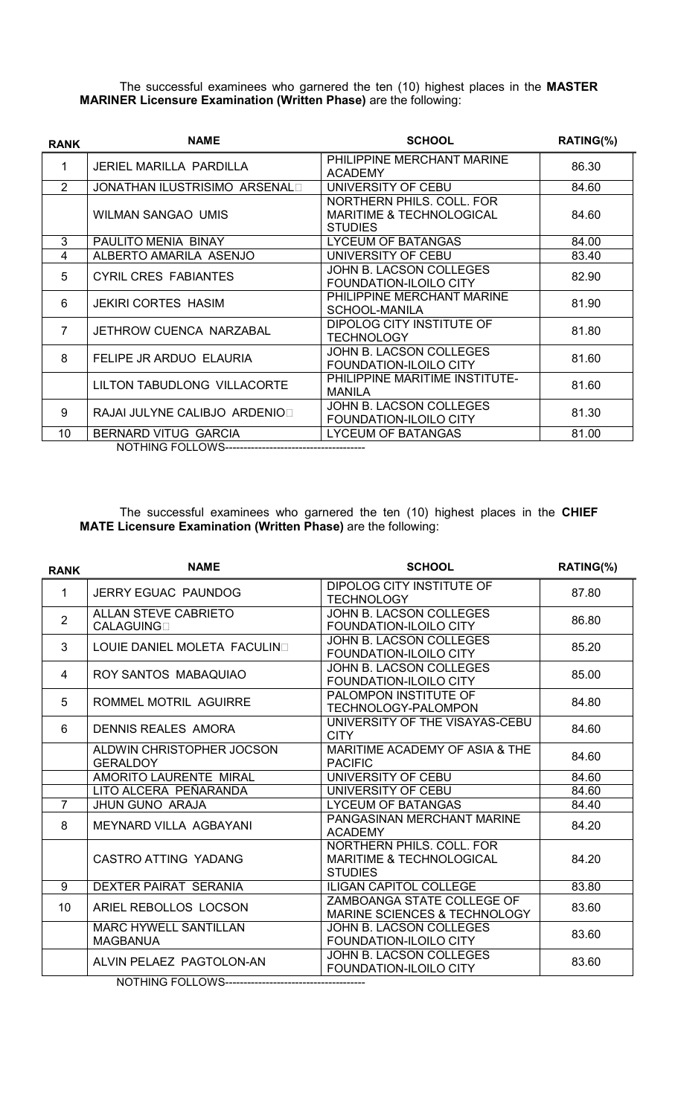The successful examinees who garnered the ten (10) highest places in the MASTER MARINER Licensure Examination (Written Phase) are the following:

| <b>RANK</b>    | <b>NAME</b>                          | <b>SCHOOL</b>                                                                      | RATING(%) |
|----------------|--------------------------------------|------------------------------------------------------------------------------------|-----------|
| 1              | <b>JERIEL MARILLA PARDILLA</b>       | PHILIPPINE MERCHANT MARINE<br><b>ACADEMY</b>                                       | 86.30     |
| $\overline{2}$ | <b>JONATHAN ILUSTRISIMO ARSENALI</b> | UNIVERSITY OF CEBU                                                                 | 84.60     |
|                | <b>WILMAN SANGAO UMIS</b>            | NORTHERN PHILS, COLL, FOR<br><b>MARITIME &amp; TECHNOLOGICAL</b><br><b>STUDIES</b> | 84.60     |
| 3              | PAULITO MENIA BINAY                  | LYCEUM OF BATANGAS                                                                 | 84.00     |
| 4              | ALBERTO AMARILA ASENJO               | UNIVERSITY OF CEBU                                                                 | 83.40     |
| 5              | <b>CYRIL CRES FABIANTES</b>          | JOHN B. LACSON COLLEGES<br>FOUNDATION-ILOILO CITY                                  | 82.90     |
| 6              | <b>JEKIRI CORTES HASIM</b>           | PHILIPPINE MERCHANT MARINE<br>SCHOOL-MANILA                                        | 81.90     |
| $\overline{7}$ | JETHROW CUENCA NARZABAL              | DIPOLOG CITY INSTITUTE OF<br><b>TECHNOLOGY</b>                                     | 81.80     |
| 8              | FELIPE JR ARDUO ELAURIA              | JOHN B. LACSON COLLEGES<br><b>FOUNDATION-ILOILO CITY</b>                           | 81.60     |
|                | LILTON TABUDLONG VILLACORTE          | PHILIPPINE MARITIME INSTITUTE-<br><b>MANILA</b>                                    | 81.60     |
| 9              | RAJAI JULYNE CALIBJO ARDENIOI        | JOHN B. LACSON COLLEGES<br>FOUNDATION-ILOILO CITY                                  | 81.30     |
| 10             | BERNARD VITUG GARCIA                 | LYCEUM OF BATANGAS                                                                 | 81.00     |
|                |                                      |                                                                                    |           |

The successful examinees who garnered the ten (10) highest places in the **CHIEF** MATE Licensure Examination (Written Phase) are the following:

| <b>RANK</b>    | <b>NAME</b>                                      | <b>SCHOOL</b>                                                                      | RATING(%) |
|----------------|--------------------------------------------------|------------------------------------------------------------------------------------|-----------|
| $\mathbf{1}$   | <b>JERRY EGUAC PAUNDOG</b>                       | DIPOLOG CITY INSTITUTE OF<br><b>TECHNOLOGY</b>                                     | 87.80     |
| $\overline{2}$ | <b>ALLAN STEVE CABRIETO</b><br><b>CALAGUINGI</b> | JOHN B. LACSON COLLEGES<br>FOUNDATION-ILOILO CITY                                  | 86.80     |
| 3              | LOUIE DANIEL MOLETA FACULINI                     | JOHN B. LACSON COLLEGES<br><b>FOUNDATION-ILOILO CITY</b>                           | 85.20     |
| 4              | ROY SANTOS MABAQUIAO                             | JOHN B. LACSON COLLEGES<br>FOUNDATION-ILOILO CITY                                  | 85.00     |
| 5              | ROMMEL MOTRIL AGUIRRE                            | PALOMPON INSTITUTE OF<br>TECHNOLOGY-PALOMPON                                       | 84.80     |
| 6              | <b>DENNIS REALES AMORA</b>                       | UNIVERSITY OF THE VISAYAS-CEBU<br><b>CITY</b>                                      | 84.60     |
|                | ALDWIN CHRISTOPHER JOCSON<br><b>GERALDOY</b>     | MARITIME ACADEMY OF ASIA & THE<br><b>PACIFIC</b>                                   | 84.60     |
|                | <b>AMORITO LAURENTE MIRAL</b>                    | UNIVERSITY OF CEBU                                                                 | 84.60     |
|                | LITO ALCERA PEÑARANDA                            | UNIVERSITY OF CEBU                                                                 | 84.60     |
| $\overline{7}$ | <b>JHUN GUNO ARAJA</b>                           | <b>LYCEUM OF BATANGAS</b>                                                          | 84.40     |
| 8              | MEYNARD VILLA AGBAYANI                           | PANGASINAN MERCHANT MARINE<br><b>ACADEMY</b>                                       | 84.20     |
|                | CASTRO ATTING YADANG                             | NORTHERN PHILS, COLL, FOR<br><b>MARITIME &amp; TECHNOLOGICAL</b><br><b>STUDIES</b> | 84.20     |
| 9              | DEXTER PAIRAT SERANIA                            | <b>ILIGAN CAPITOL COLLEGE</b>                                                      | 83.80     |
| 10             | ARIEL REBOLLOS LOCSON                            | ZAMBOANGA STATE COLLEGE OF<br>MARINE SCIENCES & TECHNOLOGY                         | 83.60     |
|                | <b>MARC HYWELL SANTILLAN</b><br><b>MAGBANUA</b>  | JOHN B. LACSON COLLEGES<br>FOUNDATION-ILOILO CITY                                  | 83.60     |
|                | ALVIN PELAEZ PAGTOLON-AN                         | JOHN B. LACSON COLLEGES<br>FOUNDATION-ILOILO CITY                                  | 83.60     |
|                | MOTHIMO FOLLOMO                                  |                                                                                    |           |

NOTHING FOLLOWS------